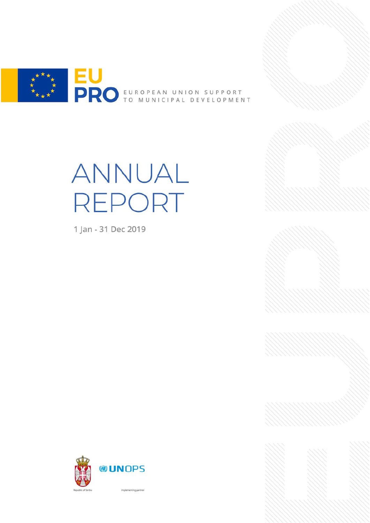

# ANNUAL REPORT

1 Jan - 31 Dec 2019



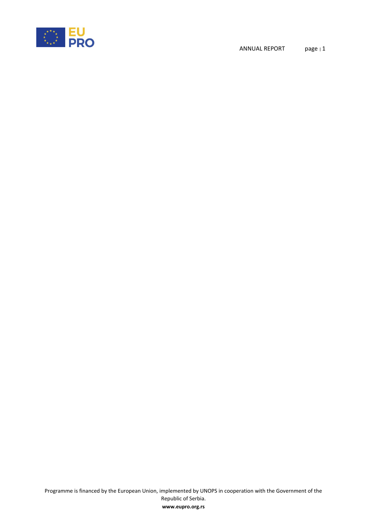

ANNUAL REPORT page | 1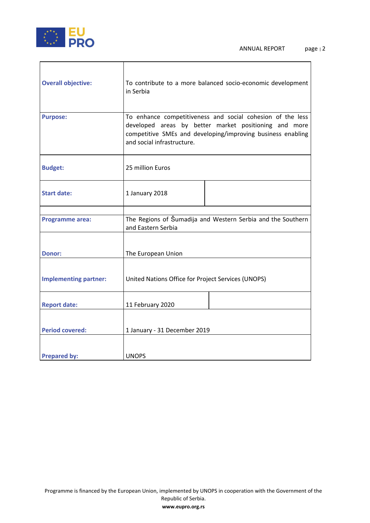

| <b>Overall objective:</b>    | To contribute to a more balanced socio-economic development<br>in Serbia                                                                                                                                         |  |
|------------------------------|------------------------------------------------------------------------------------------------------------------------------------------------------------------------------------------------------------------|--|
| <b>Purpose:</b>              | To enhance competitiveness and social cohesion of the less<br>developed areas by better market positioning and more<br>competitive SMEs and developing/improving business enabling<br>and social infrastructure. |  |
| <b>Budget:</b>               | 25 million Euros                                                                                                                                                                                                 |  |
| <b>Start date:</b>           | 1 January 2018                                                                                                                                                                                                   |  |
| <b>Programme area:</b>       | The Regions of Šumadija and Western Serbia and the Southern<br>and Eastern Serbia                                                                                                                                |  |
| <b>Donor:</b>                | The European Union                                                                                                                                                                                               |  |
| <b>Implementing partner:</b> | United Nations Office for Project Services (UNOPS)                                                                                                                                                               |  |
| <b>Report date:</b>          | 11 February 2020                                                                                                                                                                                                 |  |
| <b>Period covered:</b>       | 1 January - 31 December 2019                                                                                                                                                                                     |  |
| <b>Prepared by:</b>          | <b>UNOPS</b>                                                                                                                                                                                                     |  |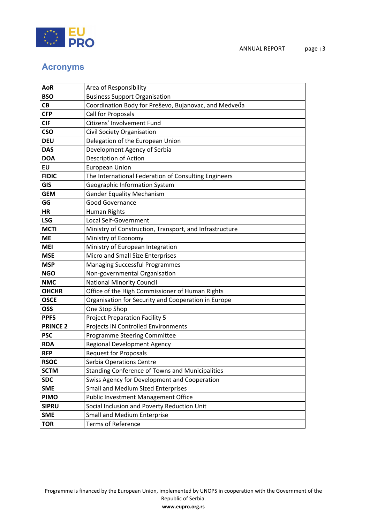

# <span id="page-3-0"></span>**Acronyms**

| <b>AoR</b>      | Area of Responsibility                                  |
|-----------------|---------------------------------------------------------|
| <b>BSO</b>      | <b>Business Support Organisation</b>                    |
| CB              | Coordination Body for Preševo, Bujanovac, and Medveda   |
| <b>CFP</b>      | Call for Proposals                                      |
| <b>CIF</b>      | Citizens' Involvement Fund                              |
| <b>CSO</b>      | Civil Society Organisation                              |
| <b>DEU</b>      | Delegation of the European Union                        |
| <b>DAS</b>      | Development Agency of Serbia                            |
| <b>DOA</b>      | Description of Action                                   |
| EU              | <b>European Union</b>                                   |
| <b>FIDIC</b>    | The International Federation of Consulting Engineers    |
| GIS             | Geographic Information System                           |
| <b>GEM</b>      | <b>Gender Equality Mechanism</b>                        |
| GG              | <b>Good Governance</b>                                  |
| ΗR              | Human Rights                                            |
| <b>LSG</b>      | Local Self-Government                                   |
| <b>MCTI</b>     | Ministry of Construction, Transport, and Infrastructure |
| <b>ME</b>       | Ministry of Economy                                     |
| <b>MEI</b>      | Ministry of European Integration                        |
| <b>MSE</b>      | Micro and Small Size Enterprises                        |
| <b>MSP</b>      | <b>Managing Successful Programmes</b>                   |
| <b>NGO</b>      | Non-governmental Organisation                           |
| <b>NMC</b>      | <b>National Minority Council</b>                        |
| <b>OHCHR</b>    | Office of the High Commissioner of Human Rights         |
| <b>OSCE</b>     | Organisation for Security and Cooperation in Europe     |
| <b>OSS</b>      | One Stop Shop                                           |
| PPF5            | <b>Project Preparation Facility 5</b>                   |
| <b>PRINCE 2</b> | Projects IN Controlled Environments                     |
| <b>PSC</b>      | <b>Programme Steering Committee</b>                     |
| <b>RDA</b>      | Regional Development Agency                             |
| <b>RFP</b>      | <b>Request for Proposals</b>                            |
| <b>RSOC</b>     | Serbia Operations Centre                                |
| <b>SCTM</b>     | Standing Conference of Towns and Municipalities         |
| <b>SDC</b>      | Swiss Agency for Development and Cooperation            |
| <b>SME</b>      | Small and Medium Sized Enterprises                      |
| <b>PIMO</b>     | <b>Public Investment Management Office</b>              |
| <b>SIPRU</b>    | Social Inclusion and Poverty Reduction Unit             |
| <b>SME</b>      | <b>Small and Medium Enterprise</b>                      |
| <b>TOR</b>      | <b>Terms of Reference</b>                               |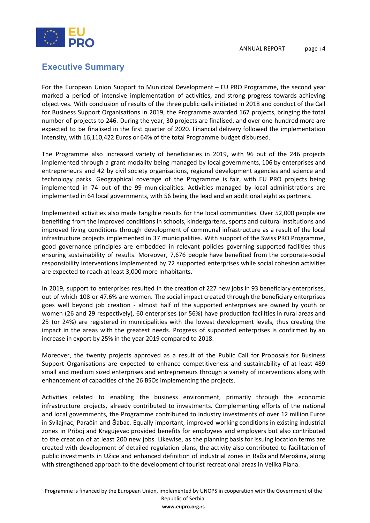

# <span id="page-4-0"></span>**Executive Summary**

For the European Union Support to Municipal Development – EU PRO Programme, the second year marked a period of intensive implementation of activities, and strong progress towards achieving objectives. With conclusion of results of the three public calls initiated in 2018 and conduct of the Call for Business Support Organisations in 2019, the Programme awarded 167 projects, bringing the total number of projects to 246. During the year, 30 projects are finalised, and over one-hundred more are expected to be finalised in the first quarter of 2020. Financial delivery followed the implementation intensity, with 16,110,422 Euros or 64% of the total Programme budget disbursed.

The Programme also increased variety of beneficiaries in 2019, with 96 out of the 246 projects implemented through a grant modality being managed by local governments, 106 by enterprises and entrepreneurs and 42 by civil society organisations, regional development agencies and science and technology parks. Geographical coverage of the Programme is fair, with EU PRO projects being implemented in 74 out of the 99 municipalities. Activities managed by local administrations are implemented in 64 local governments, with 56 being the lead and an additional eight as partners.

Implemented activities also made tangible results for the local communities. Over 52,000 people are benefiting from the improved conditions in schools, kindergartens, sports and cultural institutions and improved living conditions through development of communal infrastructure as a result of the local infrastructure projects implemented in 37 municipalities. With support of the Swiss PRO Programme, good governance principles are embedded in relevant policies governing supported facilities thus ensuring sustainability of results. Moreover, 7,676 people have benefited from the corporate-social responsibility interventions implemented by 72 supported enterprises while social cohesion activities are expected to reach at least 3,000 more inhabitants.

In 2019, support to enterprises resulted in the creation of 227 new jobs in 93 beneficiary enterprises, out of which 108 or 47.6% are women. The social impact created through the beneficiary enterprises goes well beyond job creation - almost half of the supported enterprises are owned by youth or women (26 and 29 respectively), 60 enterprises (or 56%) have production facilities in rural areas and 25 (or 24%) are registered in municipalities with the lowest development levels, thus creating the impact in the areas with the greatest needs. Progress of supported enterprises is confirmed by an increase in export by 25% in the year 2019 compared to 2018.

Moreover, the twenty projects approved as a result of the Public Call for Proposals for Business Support Organisations are expected to enhance competitiveness and sustainability of at least 489 small and medium sized enterprises and entrepreneurs through a variety of interventions along with enhancement of capacities of the 26 BSOs implementing the projects.

Activities related to enabling the business environment, primarily through the economic infrastructure projects, already contributed to investments. Complementing efforts of the national and local governments, the Programme contributed to industry investments of over 12 million Euros in Svilajnac, Paraćin and Šabac. Equally important, improved working conditions in existing industrial zones in Priboj and Kragujevac provided benefits for employees and employers but also contributed to the creation of at least 200 new jobs. Likewise, as the planning basis for issuing location terms are created with development of detailed regulation plans, the activity also contributed to facilitation of public investments in Užice and enhanced definition of industrial zones in Rača and Merošina, along with strengthened approach to the development of tourist recreational areas in Velika Plana.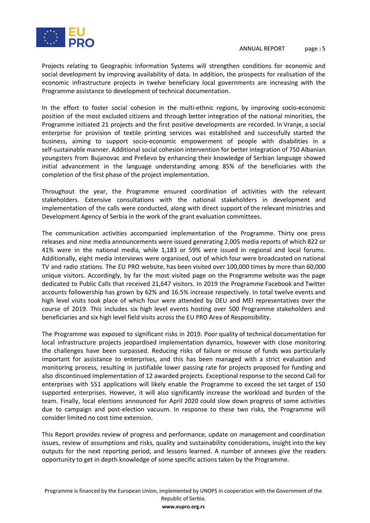

Projects relating to Geographic Information Systems will strengthen conditions for economic and social development by improving availability of data. In addition, the prospects for realisation of the economic infrastructure projects in twelve beneficiary local governments are increasing with the Programme assistance to development of technical documentation.

In the effort to foster social cohesion in the multi-ethnic regions, by improving socio-economic position of the most excluded citizens and through better integration of the national minorities, the Programme initiated 21 projects and the first positive developments are recorded. In Vranje, a social enterprise for provision of textile printing services was established and successfully started the business, aiming to support socio-economic empowerment of people with disabilities in a self-sustainable manner. Additional social cohesion intervention for better integration of 750 Albanian youngsters from Bujanovac and Preševo by enhancing their knowledge of Serbian language showed initial advancement in the language understanding among 85% of the beneficiaries with the completion of the first phase of the project implementation.

Throughout the year, the Programme ensured coordination of activities with the relevant stakeholders. Extensive consultations with the national stakeholders in development and implementation of the calls were conducted, along with direct support of the relevant ministries and Development Agency of Serbia in the work of the grant evaluation committees.

The communication activities accompanied implementation of the Programme. Thirty one press releases and nine media announcements were issued generating 2,005 media reports of which 822 or 41% were in the national media, while 1,183 or 59% were issued in regional and local forums. Additionally, eight media interviews were organised, out of which four were broadcasted on national TV and radio stations. The EU PRO website, has been visited over 100,000 times by more than 60,000 unique visitors. Accordingly, by far the most visited page on the Programme website was the page dedicated to Public Calls that received 21,647 visitors. In 2019 the Programme Facebook and Twitter accounts followership has grown by 62% and 16.5% increase respectively. In total twelve events and high level visits took place of which four were attended by DEU and MEI representatives over the course of 2019. This includes six high level events hosting over 500 Programme stakeholders and beneficiaries and six high level field visits across the EU PRO Area of Responsibility.

The Programme was exposed to significant risks in 2019. Poor quality of technical documentation for local infrastructure projects jeopardised implementation dynamics, however with close monitoring the challenges have been surpassed. Reducing risks of failure or misuse of funds was particularly important for assistance to enterprises, and this has been managed with a strict evaluation and monitoring process, resulting in justifiable lower passing rate for projects proposed for funding and also discontinued implementation of 12 awarded projects. Exceptional response to the second Call for enterprises with 551 applications will likely enable the Programme to exceed the set target of 150 supported enterprises. However, it will also significantly increase the workload and burden of the team. Finally, local elections announced for April 2020 could slow down progress of some activities due to campaign and post-election vacuum. In response to these two risks, the Programme will consider limited no cost time extension.

This Report provides review of progress and performance, update on management and coordination issues, review of assumptions and risks, quality and sustainability considerations, insight into the key outputs for the next reporting period, and lessons learned. A number of annexes give the readers opportunity to get in depth knowledge of some specific actions taken by the Programme.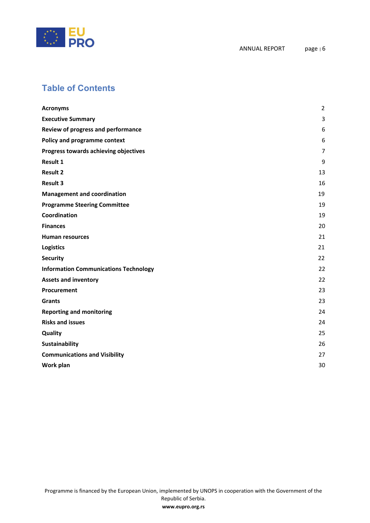

# **Table of Contents**

| <b>Acronyms</b>                              | $\overline{2}$ |
|----------------------------------------------|----------------|
| <b>Executive Summary</b>                     | 3              |
| <b>Review of progress and performance</b>    | 6              |
| <b>Policy and programme context</b>          | 6              |
| Progress towards achieving objectives        | $\overline{7}$ |
| <b>Result 1</b>                              | 9              |
| <b>Result 2</b>                              | 13             |
| <b>Result 3</b>                              | 16             |
| <b>Management and coordination</b>           | 19             |
| <b>Programme Steering Committee</b>          | 19             |
| Coordination                                 | 19             |
| <b>Finances</b>                              | 20             |
| <b>Human resources</b>                       | 21             |
| <b>Logistics</b>                             | 21             |
| <b>Security</b>                              | 22             |
| <b>Information Communications Technology</b> | 22             |
| <b>Assets and inventory</b>                  | 22             |
| Procurement                                  | 23             |
| <b>Grants</b>                                | 23             |
| <b>Reporting and monitoring</b>              | 24             |
| <b>Risks and issues</b>                      | 24             |
| Quality                                      | 25             |
| <b>Sustainability</b>                        | 26             |
| <b>Communications and Visibility</b>         | 27             |
| Work plan                                    | 30             |
|                                              |                |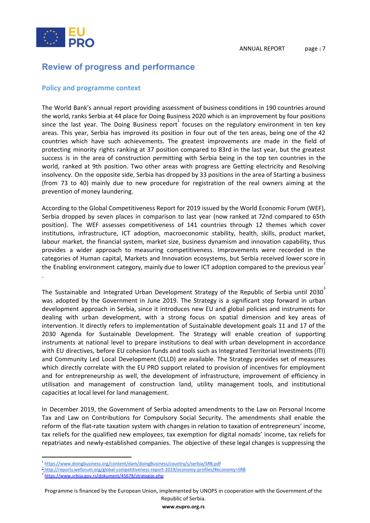

# <span id="page-7-0"></span>**Review of progress and performance**

#### <span id="page-7-1"></span>**Policy and programme context**

The World Bank's annual report providing assessment of business conditions in 190 countries around the world, ranks Serbia at 44 place for Doing Business 2020 which is an improvement by four positions since the last year. The Doing Business report focuses on the regulatory environment in ten key areas. This year, Serbia has improved its position in four out of the ten areas, being one of the 42 countries which have such achievements. The greatest improvements are made in the field of protecting minority rights ranking at 37 position compared to 83rd in the last year, but the greatest success is in the area of construction permitting with Serbia being in the top ten countries in the world, ranked at 9th position. Two other areas with progress are Getting electricity and Resolving insolvency. On the opposite side, Serbia has dropped by 33 positions in the area of Starting a business (from 73 to 40) mainly due to new procedure for registration of the real owners aiming at the prevention of money laundering.

According to the Global Competitiveness Report for 2019 issued by the World Economic Forum (WEF), Serbia dropped by seven places in comparison to last year (now ranked at 72nd compared to 65th position). The WEF assesses competitiveness of 141 countries through 12 themes which cover institutions, infrastructure, ICT adoption, macroeconomic stability, health, skills, product market, labour market, the financial system, market size, business dynamism and innovation capability, thus provides a wider approach to measuring competitiveness. Improvements were recorded in the categories of Human capital, Markets and Innovation ecosystems, but Serbia received lower score in the Enabling environment category, mainly due to lower ICT adoption compared to the previous year<sup>2</sup> .

The Sustainable and Integrated Urban Development Strategy of the Republic of Serbia until 2030<sup>3</sup> was adopted by the Government in June 2019. The Strategy is a significant step forward in urban development approach in Serbia, since it introduces new EU and global policies and instruments for dealing with urban development, with a strong focus on spatial dimension and key areas of intervention. It directly refers to implementation of Sustainable development goals 11 and 17 of the 2030 Agenda for Sustainable Development. The Strategy will enable creation of supporting instruments at national level to prepare institutions to deal with urban development in accordance with EU directives, before EU cohesion funds and tools such as Integrated Territorial Investments (ITI) and Community Led Local Development (CLLD) are available. The Strategy provides set of measures which directly correlate with the EU PRO support related to provision of incentives for employment and for entrepreneurship as well, the development of infrastructure, improvement of efficiency in utilisation and management of construction land, utility management tools, and institutional capacities at local level for land management.

In December 2019, the Government of Serbia adopted amendments to the Law on Personal Income Tax and Law on Contributions for Compulsory Social Security. The amendments shall enable the reform of the flat-rate taxation system with changes in relation to taxation of entrepreneurs' income, tax reliefs for the qualified new employees, tax exemption for digital nomads' income, tax reliefs for repatriates and newly-established companies. The objective of these legal changes is suppressing the

Programme is financed by the European Union, implemented by UNOPS in cooperation with the Government of the Republic of Serbia.

<sup>1</sup> <https://www.doingbusiness.org/content/dam/doingBusiness/country/s/serbia/SRB.pdf>

<sup>2</sup> <http://reports.weforum.org/global-competitiveness-report-2019/economy-profiles/#economy=SRB>

<sup>&</sup>lt;sup>3</sup> <https://www.srbija.gov.rs/dokument/45678/strategije.php>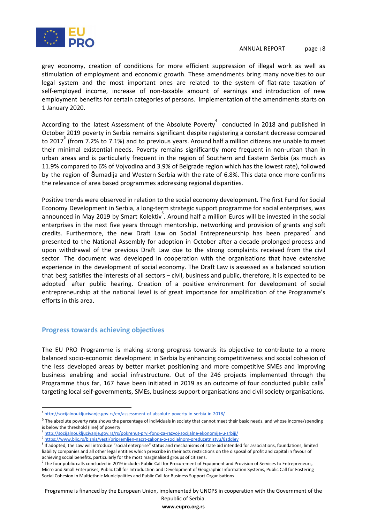

grey economy, creation of conditions for more efficient suppression of illegal work as well as stimulation of employment and economic growth. These amendments bring many novelties to our legal system and the most important ones are related to the system of flat-rate taxation of self-employed income, increase of non-taxable amount of earnings and introduction of new employment benefits for certain categories of persons. Implementation of the amendments starts on 1 January 2020.

According to the latest Assessment of the Absolute Poverty  $4\atop$  conducted in 2018 and published in October 2019 poverty in Serbia remains significant despite registering a constant decrease compared to 2017<sup>5</sup> (from 7.2% to 7.1%) and to previous years. Around half a million citizens are unable to meet their minimal existential needs. Poverty remains significantly more frequent in non-urban than in urban areas and is particularly frequent in the region of Southern and Eastern Serbia (as much as 11.9% compared to 6% of Vojvodina and 3.9% of Belgrade region which has the lowest rate), followed by the region of Šumadija and Western Serbia with the rate of 6.8%. This data once more confirms the relevance of area based programmes addressing regional disparities.

Positive trends were observed in relation to the social economy development. The first Fund for Social Economy Development in Serbia, a long-term strategic support programme for social enterprises, was announced in May 2019 by Smart Kolektiv. Around half a million Euros will be invested in the social enterprises in the next five years through mentorship, networking and provision of grants and soft credits. Furthermore, the new Draft Law on Social Entrepreneurship has been prepared and presented to the National Assembly for adoption in October after a decade prolonged process and upon withdrawal of the previous Draft Law due to the strong complaints received from the civil sector. The document was developed in cooperation with the organisations that have extensive experience in the development of social economy. The Draft Law is assessed as a balanced solution that best satisfies the interests of all sectors – civil, business and public, therefore, it is expected to be adopted<sup>8</sup> after public hearing. Creation of a positive environment for development of social entrepreneurship at the national level is of great importance for amplification of the Programme's efforts in this area.

## <span id="page-8-0"></span>**Progress towards achieving objectives**

The EU PRO Programme is making strong progress towards its objective to contribute to a more balanced socio-economic development in Serbia by enhancing competitiveness and social cohesion of the less developed areas by better market positioning and more competitive SMEs and improving business enabling and social infrastructure. Out of the 246 projects implemented through the Programme thus far, 167 have been initiated in 2019 as an outcome of four conducted public calls targeting local self-governments, SMEs, business support organisations and civil society organisations.

Programme is financed by the European Union, implemented by UNOPS in cooperation with the Government of the Republic of Serbia.

<sup>4</sup> <http://socijalnoukljucivanje.gov.rs/en/assessment-of-absolute-poverty-in-serbia-in-2018/>

 $5$  The absolute poverty rate shows the percentage of individuals in society that cannot meet their basic needs, and whose income/spending is below the threshold (line) of poverty

<sup>6</sup> <http://socijalnoukljucivanje.gov.rs/rs/pokrenut-prvi-fond-za-razvoj-socijalne-ekonomije-u-srbiji/>

<sup>7</sup> <https://www.blic.rs/biznis/vesti/pripremljen-nacrt-zakona-o-socijalnom-preduzetnistvu/8zddjey>

<sup>&</sup>lt;sup>8</sup> If adopted, the Law will introduce "social enterprise" status and mechanisms of state aid intended for associations, foundations, limited liability companies and all other legal entities which prescribe in their acts restrictions on the disposal of profit and capital in favour of achieving social benefits, particularly for the most marginalised groups of citizens.

 $9$  The four public calls concluded in 2019 include: Public Call for Procurement of Equipment and Provision of Services to Entrepreneurs, Micro and Small Enterprises, Public Call for Introduction and Development of Geographic Information Systems, Public Call for Fostering Social Cohesion in Multiethnic Municipalities and Public Call for Business Support Organisations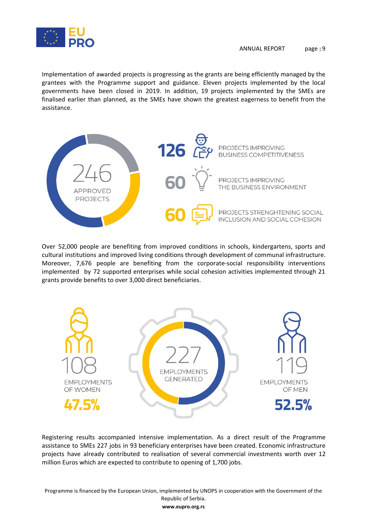

Implementation of awarded projects is progressing as the grants are being efficiently managed by the grantees with the Programme support and guidance. Eleven projects implemented by the local governments have been closed in 2019. In addition, 19 projects implemented by the SMEs are finalised earlier than planned, as the SMEs have shown the greatest eagerness to benefit from the assistance.



Over 52,000 people are benefiting from improved conditions in schools, kindergartens, sports and cultural institutions and improved living conditions through development of communal infrastructure. Moreover, 7,676 people are benefiting from the corporate-social responsibility interventions implemented by 72 supported enterprises while social cohesion activities implemented through 21 grants provide benefits to over 3,000 direct beneficiaries.



Registering results accompanied intensive implementation. As a direct result of the Programme assistance to SMEs 227 jobs in 93 beneficiary enterprises have been created. Economic infrastructure projects have already contributed to realisation of several commercial investments worth over 12 million Euros which are expected to contribute to opening of 1,700 jobs.

Programme is financed by the European Union, implemented by UNOPS in cooperation with the Government of the Republic of Serbia. **www.eupro.org.rs**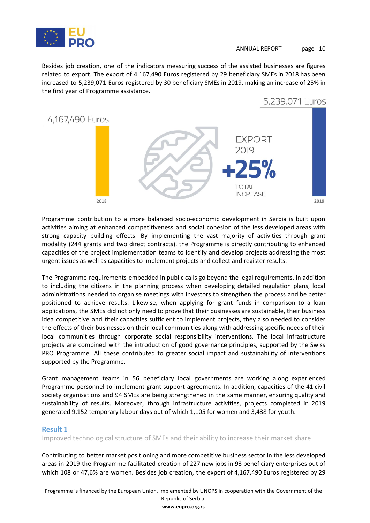

Besides job creation, one of the indicators measuring success of the assisted businesses are figures related to export. The export of 4,167,490 Euros registered by 29 beneficiary SMEs in 2018 has been increased to 5,239,071 Euros registered by 30 beneficiary SMEs in 2019, making an increase of 25% in the first year of Programme assistance.



Programme contribution to a more balanced socio-economic development in Serbia is built upon activities aiming at enhanced competitiveness and social cohesion of the less developed areas with strong capacity building effects. By implementing the vast majority of activities through grant modality (244 grants and two direct contracts), the Programme is directly contributing to enhanced capacities of the project implementation teams to identify and develop projects addressing the most urgent issues as well as capacities to implement projects and collect and register results.

The Programme requirements embedded in public calls go beyond the legal requirements. In addition to including the citizens in the planning process when developing detailed regulation plans, local administrations needed to organise meetings with investors to strengthen the process and be better positioned to achieve results. Likewise, when applying for grant funds in comparison to a loan applications, the SMEs did not only need to prove that their businesses are sustainable, their business idea competitive and their capacities sufficient to implement projects, they also needed to consider the effects of their businesses on their local communities along with addressing specific needs of their local communities through corporate social responsibility interventions. The local infrastructure projects are combined with the introduction of good governance principles, supported by the Swiss PRO Programme. All these contributed to greater social impact and sustainability of interventions supported by the Programme.

Grant management teams in 56 beneficiary local governments are working along experienced Programme personnel to implement grant support agreements. In addition, capacities of the 41 civil society organisations and 94 SMEs are being strengthened in the same manner, ensuring quality and sustainability of results. Moreover, through infrastructure activities, projects completed in 2019 generated 9,152 temporary labour days out of which 1,105 for women and 3,438 for youth.

## <span id="page-10-0"></span>**Result 1**

Improved technological structure of SMEs and their ability to increase their market share

Contributing to better market positioning and more competitive business sector in the less developed areas in 2019 the Programme facilitated creation of 227 new jobs in 93 beneficiary enterprises out of which 108 or 47,6% are women. Besides job creation, the export of 4,167,490 Euros registered by 29

Programme is financed by the European Union, implemented by UNOPS in cooperation with the Government of the Republic of Serbia.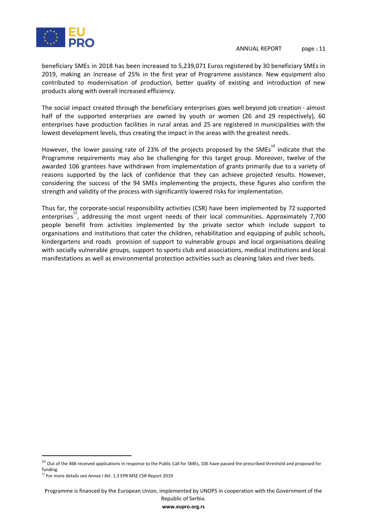

beneficiary SMEs in 2018 has been increased to 5,239,071 Euros registered by 30 beneficiary SMEs in 2019, making an increase of 25% in the first year of Programme assistance. New equipment also contributed to modernisation of production, better quality of existing and introduction of new products along with overall increased efficiency.

The social impact created through the beneficiary enterprises goes well beyond job creation - almost half of the supported enterprises are owned by youth or women (26 and 29 respectively), 60 enterprises have production facilities in rural areas and 25 are registered in municipalities with the lowest development levels, thus creating the impact in the areas with the greatest needs.

However, the lower passing rate of 23% of the projects proposed by the SMEs<sup>10</sup> indicate that the Programme requirements may also be challenging for this target group. Moreover, twelve of the awarded 106 grantees have withdrawn from implementation of grants primarily due to a variety of reasons supported by the lack of confidence that they can achieve projected results. However, considering the success of the 94 SMEs implementing the projects, these figures also confirm the strength and validity of the process with significantly lowered risks for implementation.

Thus far, the corporate-social responsibility activities (CSR) have been implemented by 72 supported enterprises<sup>11</sup>, addressing the most urgent needs of their local communities. Approximately 7,700 people benefit from activities implemented by the private sector which include support to organisations and institutions that cater the children, rehabilitation and equipping of public schools, kindergartens and roads provision of support to vulnerable groups and local organisations dealing with socially vulnerable groups, support to sports club and associations, medical institutions and local manifestations as well as environmental protection activities such as cleaning lakes and river beds.

 $10$  Out of the 468 received applications in response to the Public Call for SMEs, 106 have passed the prescribed threshold and proposed for funding

<sup>&</sup>lt;sup>11</sup> For more details see Annex I Att. 1.3 EPR MSE CSR Report 2019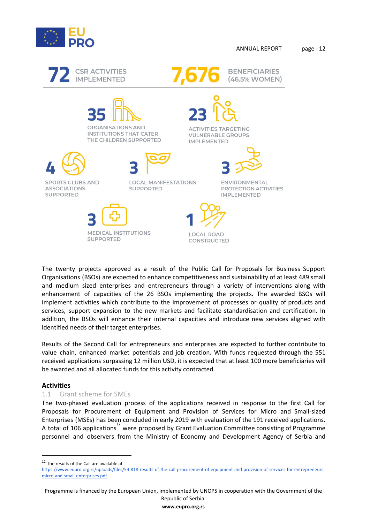



The twenty projects approved as a result of the Public Call for Proposals for Business Support Organisations (BSOs) are expected to enhance competitiveness and sustainability of at least 489 small and medium sized enterprises and entrepreneurs through a variety of interventions along with enhancement of capacities of the 26 BSOs implementing the projects. The awarded BSOs will implement activities which contribute to the improvement of processes or quality of products and services, support expansion to the new markets and facilitate standardisation and certification. In addition, the BSOs will enhance their internal capacities and introduce new services aligned with identified needs of their target enterprises.

Results of the Second Call for entrepreneurs and enterprises are expected to further contribute to value chain, enhanced market potentials and job creation. With funds requested through the 551 received applications surpassing 12 million USD, it is expected that at least 100 more beneficiaries will be awarded and all allocated funds for this activity contracted.

#### **Activities**

#### 1.1 Grant scheme for SMEs

The two-phased evaluation process of the applications received in response to the first Call for Proposals for Procurement of Equipment and Provision of Services for Micro and Small-sized Enterprises (MSEs) has been concluded in early 2019 with evaluation of the 191 received applications. A total of 106 applications<sup>12</sup> were proposed by Grant Evaluation Committee consisting of Programme personnel and observers from the Ministry of Economy and Development Agency of Serbia and

<sup>12</sup> The results of the Call are available at

Programme is financed by the European Union, implemented by UNOPS in cooperation with the Government of the Republic of Serbia.

[https://www.eupro.org.rs/uploads/files/54-818-results-of-the-call-procurement-of-equipment-and-provision-of-services-for-entrepreneurs](https://www.eupro.org.rs/uploads/files/54-818-results-of-the-call-procurement-of-equipment-and-provision-of-services-for-entrepreneurs-micro-and-small-enterprises.pdf)[micro-and-small-enterprises.pdf](https://www.eupro.org.rs/uploads/files/54-818-results-of-the-call-procurement-of-equipment-and-provision-of-services-for-entrepreneurs-micro-and-small-enterprises.pdf)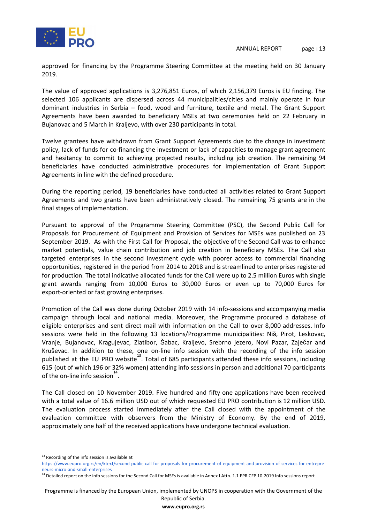

approved for financing by the Programme Steering Committee at the meeting held on 30 January 2019.

The value of approved applications is 3,276,851 Euros, of which 2,156,379 Euros is EU finding. The selected 106 applicants are dispersed across 44 municipalities/cities and mainly operate in four dominant industries in Serbia – food, wood and furniture, textile and metal. The Grant Support Agreements have been awarded to beneficiary MSEs at two ceremonies held on 22 February in Bujanovac and 5 March in Kraljevo, with over 230 participants in total.

Twelve grantees have withdrawn from Grant Support Agreements due to the change in investment policy, lack of funds for co-financing the investment or lack of capacities to manage grant agreement and hesitancy to commit to achieving projected results, including job creation. The remaining 94 beneficiaries have conducted administrative procedures for implementation of Grant Support Agreements in line with the defined procedure.

During the reporting period, 19 beneficiaries have conducted all activities related to Grant Support Agreements and two grants have been administratively closed. The remaining 75 grants are in the final stages of implementation.

Pursuant to approval of the Programme Steering Committee (PSC), the Second Public Call for Proposals for Procurement of Equipment and Provision of Services for MSEs was published on 23 September 2019. As with the First Call for Proposal, the objective of the Second Call was to enhance market potentials, value chain contribution and job creation in beneficiary MSEs. The Call also targeted enterprises in the second investment cycle with poorer access to commercial financing opportunities, registered in the period from 2014 to 2018 and is streamlined to enterprises registered for production. The total indicative allocated funds for the Call were up to 2.5 million Euros with single grant awards ranging from 10,000 Euros to 30,000 Euros or even up to 70,000 Euros for export-oriented or fast growing enterprises.

Promotion of the Call was done during October 2019 with 14 info-sessions and accompanying media campaign through local and national media. Moreover, the Programme procured a database of eligible enterprises and sent direct mail with information on the Call to over 8,000 addresses. Info sessions were held in the following 13 locations/Programme municipalities: Niš, Pirot, Leskovac, Vranje, Bujanovac, Kragujevac, Zlatibor, Šabac, Kraljevo, Srebrno jezero, Novi Pazar, Zaječar and Kruševac. In addition to these, one on-line info session with the recording of the info session published at the EU PRO website $^{13}$ . Total of 685 participants attended these info sessions, including 615 (out of which 196 or 32% women) attending info sessions in person and additional 70 participants of the on-line info session<sup>14</sup>.

The Call closed on 10 November 2019. Five hundred and fifty one applications have been received with a total value of 16.6 million USD out of which requested EU PRO contribution is 12 million USD. The evaluation process started immediately after the Call closed with the appointment of the evaluation committee with observers from the Ministry of Economy. By the end of 2019, approximately one half of the received applications have undergone technical evaluation.

Programme is financed by the European Union, implemented by UNOPS in cooperation with the Government of the Republic of Serbia.

<sup>&</sup>lt;sup>13</sup> Recording of the info session is available at

[https://www.eupro.org.rs/en/ktext/second-public-call-for-proposals-for-procurement-of-equipment-and-provision-of-services-for-entrepre](https://www.eupro.org.rs/en/ktext/second-public-call-for-proposals-for-procurement-of-equipment-and-provision-of-services-for-entrepreneurs-micro-and-small-enterprises) [neurs-micro-and-small-enterprises](https://www.eupro.org.rs/en/ktext/second-public-call-for-proposals-for-procurement-of-equipment-and-provision-of-services-for-entrepreneurs-micro-and-small-enterprises)

<sup>&</sup>lt;sup>14</sup> Detailed report on the info sessions for the Second Call for MSEs is available in Annex I Attn. 1.1 EPR CFP 10-2019 Info sessions report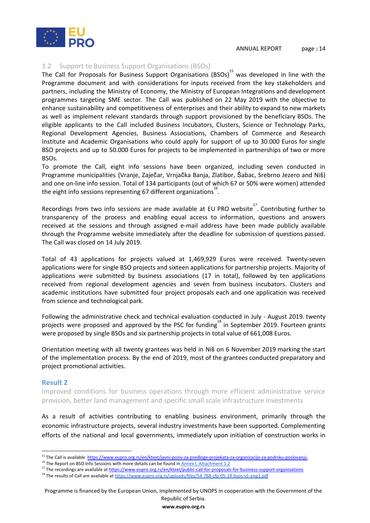

#### 1.2 Support to Business Support Organisations (BSOs)

The Call for Proposals for Business Support Organisations (BSOs)<sup>15</sup> was developed in line with the Programme document and with considerations for inputs received from the key stakeholders and partners, including the Ministry of Economy, the Ministry of European Integrations and development programmes targeting SME sector. The Call was published on 22 May 2019 with the objective to enhance sustainability and competitiveness of enterprises and their ability to expand to new markets as well as implement relevant standards through support provisioned by the beneficiary BSOs. The eligible applicants to the Call included Business Incubators, Clusters, Science or Technology Parks, Regional Development Agencies, Business Associations, Chambers of Commerce and Research Institute and Academic Organisations who could apply for support of up to 30.000 Euros for single BSO projects and up to 50.000 Euros for projects to be implemented in partnerships of two or more BSOs.

To promote the Call, eight info sessions have been organized, including seven conducted in Programme municipalities (Vranje, Zaječar, Vrnjačka Banja, Zlatibor, Šabac, Srebrno Jezero and Niš) and one on-line info session. Total of 134 participants (out of which 67 or 50% were women) attended the eight info sessions representing 67 different organizations  $16$ .

Recordings from two info sessions are made available at EU PRO website $^{17}$ . Contributing further to transparency of the process and enabling equal access to information, questions and answers received at the sessions and through assigned e-mail address have been made publicly available through the Programme website immediately after the deadline for submission of questions passed. The Call was closed on 14 July 2019.

Total of 43 applications for projects valued at 1,469,929 Euros were received. Twenty-seven applications were for single BSO projects and sixteen applications for partnership projects. Majority of applications were submitted by business associations (17 in total), followed by ten applications received from regional development agencies and seven from business incubators. Clusters and academic institutions have submitted four project proposals each and one application was received from science and technological park.

Following the administrative check and technical evaluation conducted in July - August 2019. twenty projects were proposed and approved by the PSC for funding<sup>18</sup> in September 2019. Fourteen grants were proposed by single BSOs and six partnership projects in total value of 661,008 Euros.

Orientation meeting with all twenty grantees was held in Niš on 6 November 2019 marking the start of the implementation process. By the end of 2019, most of the grantees conducted preparatory and project promotional activities.

#### <span id="page-14-0"></span>**Result 2**

Improved conditions for business operations through more efficient administrative service provision, better land management and specific small scale infrastructure investments

As a result of activities contributing to enabling business environment, primarily through the economic infrastructure projects, several industry investments have been supported. Complementing efforts of the national and local governments, immediately upon initiation of construction works in

<sup>&</sup>lt;sup>15</sup> The Call is available <https://www.eupro.org.rs/en/ktext/javni-poziv-za-predloge-projekata-za-organizacije-za-podrsku-poslovanju>

 $16$  The Report on BSO Info Sessions with more details can be found in Annex I, [Attachment](https://docs.google.com/document/d/1OpYKRHlSKpQBgcU4TmQ4QyUO6xlr5w_q/edit) 1.2

<sup>&</sup>lt;sup>17</sup> The recordings are available at <https://www.eupro.org.rs/en/ktext/public-call-for-proposals-for-business-support-organisations>

<sup>&</sup>lt;sup>18</sup> The results of Call are available at <https://www.eupro.org.rs/uploads/files/54-768-cfp-05-19-bsos-v1-eng1.pdf>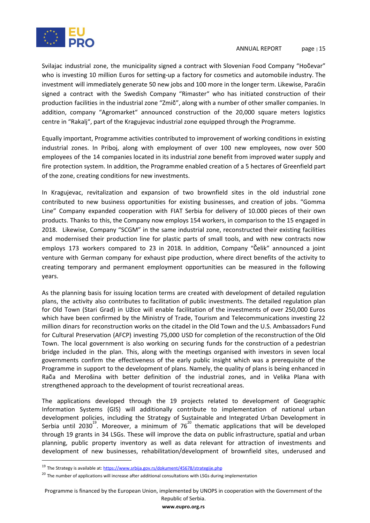

Svilajac industrial zone, the municipality signed a contract with Slovenian Food Company "Hočevar" who is investing 10 million Euros for setting-up a factory for cosmetics and automobile industry. The investment will immediately generate 50 new jobs and 100 more in the longer term. Likewise, Paraćin signed a contract with the Swedish Company "Rimaster" who has initiated construction of their production facilities in the industrial zone "Zmič", along with a number of other smaller companies. In addition, company "Agromarket" announced construction of the 20,000 square meters logistics centre in "Rakalj", part of the Kragujevac industrial zone equipped through the Programme.

Equally important, Programme activities contributed to improvement of working conditions in existing industrial zones. In Priboj, along with employment of over 100 new employees, now over 500 employees of the 14 companies located in its industrial zone benefit from improved water supply and fire protection system. In addition, the Programme enabled creation of a 5 hectares of Greenfield part of the zone, creating conditions for new investments.

In Kragujevac, revitalization and expansion of two brownfield sites in the old industrial zone contributed to new business opportunities for existing businesses, and creation of jobs. "Gomma Line" Company expanded cooperation with FIAT Serbia for delivery of 10.000 pieces of their own products. Thanks to this, the Company now employs 154 workers, in comparison to the 15 engaged in 2018. Likewise, Company "SCGM" in the same industrial zone, reconstructed their existing facilities and modernised their production line for plastic parts of small tools, and with new contracts now employs 173 workers compared to 23 in 2018. In addition, Company "Čelik" announced a joint venture with German company for exhaust pipe production, where direct benefits of the activity to creating temporary and permanent employment opportunities can be measured in the following years.

As the planning basis for issuing location terms are created with development of detailed regulation plans, the activity also contributes to facilitation of public investments. The detailed regulation plan for Old Town (Stari Grad) in Užice will enable facilitation of the investments of over 250,000 Euros which have been confirmed by the Ministry of Trade, Tourism and Telecommunications investing 22 million dinars for reconstruction works on the citadel in the Old Town and the U.S. Ambassadors Fund for Cultural Preservation (AFCP) investing 75,000 USD for completion of the reconstruction of the Old Town. The local government is also working on securing funds for the construction of a pedestrian bridge included in the plan. This, along with the meetings organised with investors in seven local governments confirm the effectiveness of the early public insight which was a prerequisite of the Programme in support to the development of plans. Namely, the quality of plans is being enhanced in Rača and Merošina with better definition of the industrial zones, and in Velika Plana with strengthened approach to the development of tourist recreational areas.

The applications developed through the 19 projects related to development of Geographic Information Systems (GIS) will additionally contribute to implementation of national urban development policies, including the Strategy of Sustainable and Integrated Urban Development in Serbia until 2030<sup>19</sup>. Moreover, a minimum of 76<sup>20</sup> thematic applications that will be developed through 19 grants in 34 LSGs. These will improve the data on public infrastructure, spatial and urban planning, public property inventory as well as data relevant for attraction of investments and development of new businesses, rehabilitation/development of brownfield sites, underused and

Programme is financed by the European Union, implemented by UNOPS in cooperation with the Government of the Republic of Serbia.

<sup>&</sup>lt;sup>19</sup> The Strategy is available at[:](https://www.srbija.gov.rs/dokument/45678/strategije.php) <https://www.srbija.gov.rs/dokument/45678/strategije.php>

<sup>&</sup>lt;sup>20</sup> The number of applications will increase after additional consultations with LSGs during implementation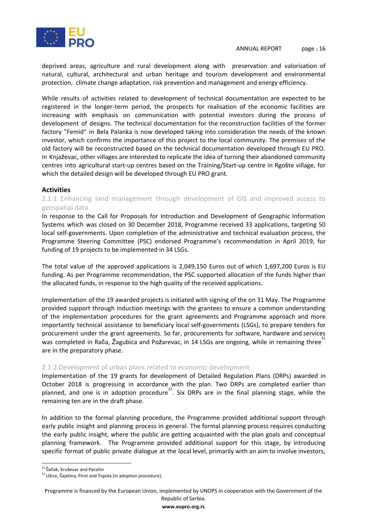

deprived areas, agriculture and rural development along with preservation and valorisation of natural, cultural, architectural and urban heritage and tourism development and environmental protection, climate change adaptation, risk prevention and management and energy efficiency.

While results of activities related to development of technical documentation are expected to be registered in the longer-term period, the prospects for realisation of the economic facilities are increasing with emphasis on communication with potential investors during the process of development of designs. The technical documentation for the reconstruction facilities of the former factory "Femid" in Bela Palanka is now developed taking into consideration the needs of the known investor, which confirms the importance of this project to the local community. The premises of the old factory will be reconstructed based on the technical documentation developed through EU PRO. In Knjaževac, other villages are interested to replicate the idea of turning their abandoned community centres into agricultural start-up centres based on the Training/Start-up centre in Rgošte village, for which the detailed design will be developed through EU PRO grant.

## **Activities**

## 2.1.1 Enhancing land management through development of GIS and improved access to geospatial data

In response to the Call for Proposals for Introduction and Development of Geographic Information Systems which was closed on 30 December 2018, Programme received 33 applications, targeting 50 local self-governments. Upon completion of the administrative and technical evaluation process, the Programme Steering Committee (PSC) endorsed Programme's recommendation in April 2019, for funding of 19 projects to be implemented in 34 LSGs.

The total value of the approved applications is 2,049,150 Euros out of which 1,697,200 Euros is EU funding. As per Programme recommendation, the PSC supported allocation of the funds higher than the allocated funds, in response to the high quality of the received applications.

Implementation of the 19 awarded projects is initiated with signing of the on 31 May. The Programme provided support through induction meetings with the grantees to ensure a common understanding of the implementation procedures for the grant agreements and Programme approach and more importantly technical assistance to beneficiary local self-governments (LSGs), to prepare tenders for procurement under the grant agreements. So far, procurements for software, hardware and services .<br>was completed in Rača, Žagubica and Požarevac, in 14 LSGs are ongoing, while in remaining three<sup>21</sup> are in the preparatory phase.

#### 2.1.2 Development of urban plans related to economic development

Implementation of the 19 grants for development of Detailed Regulation Plans (DRPs) awarded in October 2018 is progressing in accordance with the plan. Two DRPs are completed earlier than planned, and one is in adoption procedure<sup>22</sup>. Six DRPs are in the final planning stage, while the remaining ten are in the draft phase.

In addition to the formal planning procedure, the Programme provided additional support through early public insight and planning process in general. The formal planning process requires conducting the early public insight, where the public are getting acquainted with the plan goals and conceptual planning framework. The Programme provided additional support for this stage, by introducing specific format of public private dialogue at the local level, primarily with an aim to involve investors,

Programme is financed by the European Union, implemented by UNOPS in cooperation with the Government of the Republic of Serbia.

<sup>&</sup>lt;sup>21</sup> Čačak, Kruševac and Paraćin

<sup>&</sup>lt;sup>22</sup> Užice, Čajetina, Pirot and Topola (in adoption procedure),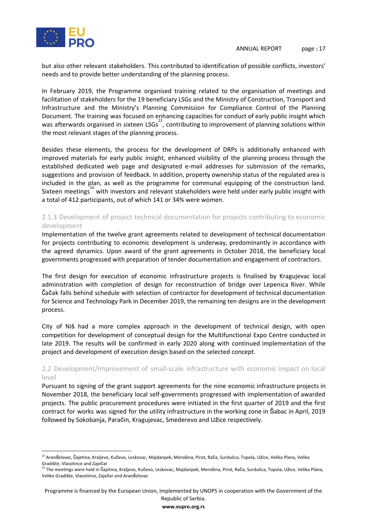

but also other relevant stakeholders. This contributed to identification of possible conflicts, investors' needs and to provide better understanding of the planning process.

In February 2019, the Programme organised training related to the organisation of meetings and facilitation of stakeholders for the 19 beneficiary LSGs and the Ministry of Construction, Transport and Infrastructure and the Ministry's Planning Commission for Compliance Control of the Planning Document. The training was focused on enhancing capacities for conduct of early public insight which was afterwards organised in sixteen LSGs<sup>23</sup>, contributing to improvement of planning solutions within the most relevant stages of the planning process.

Besides these elements, the process for the development of DRPs is additionally enhanced with improved materials for early public insight, enhanced visibility of the planning process through the established dedicated web page and designated e-mail addresses for submission of the remarks, suggestions and provision of feedback. In addition, property ownership status of the regulated area is included in the plan, as well as the programme for communal equipping of the construction land. Sixteen meetings<sup>24</sup> with investors and relevant stakeholders were held under early public insight with a total of 412 participants, out of which 141 or 34% were women.

## 2.1.3 Development of project technical documentation for projects contributing to economic development

Implementation of the twelve grant agreements related to development of technical documentation for projects contributing to economic development is underway, predominantly in accordance with the agreed dynamics. Upon award of the grant agreements in October 2018, the beneficiary local governments progressed with preparation of tender documentation and engagement of contractors.

The first design for execution of economic infrastructure projects is finalised by Kragujevac local administration with completion of design for reconstruction of bridge over Lepenica River. While Čačak falls behind schedule with selection of contractor for development of technical documentation for Science and Technology Park in December 2019, the remaining ten designs are in the development process.

City of Niš had a more complex approach in the development of technical design, with open competition for development of conceptual design for the Multifunctional Expo Centre conducted in late 2019. The results will be confirmed in early 2020 along with continued implementation of the project and development of execution design based on the selected concept.

## 2.2 Development/improvement of small-scale infrastructure with economic impact on local level

Pursuant to signing of the grant support agreements for the nine economic infrastructure projects in November 2018, the beneficiary local self-governments progressed with implementation of awarded projects. The public procurement procedures were initiated in the first quarter of 2019 and the first contract for works was signed for the utility infrastructure in the working zone in Šabac in April, 2019 followed by Sokobanja, Paraćin, Kragujevac, Smederevo and Užice respectively.

Programme is financed by the European Union, implemented by UNOPS in cooperation with the Government of the Republic of Serbia.

<sup>&</sup>lt;sup>23</sup> Aranđelovac, Čajetina, Kraljevo, Kučevo, Leskovac, Majdanpek, Merošina, Pirot, Rača, Surdulica, Topola, Užice, Velika Plana, Veliko Gradište, Vlasotince and Zaječar

<sup>&</sup>lt;sup>24</sup> The meetings were held in Čajetina, Kraljevo, Kučevo, Leskovac, Majdanpek, Merošina, Pirot, Rača, Surdulica, Topola, Užice, Velika Plana, Veliko Gradište, Vlasotince, Zaječar and Aranđelovac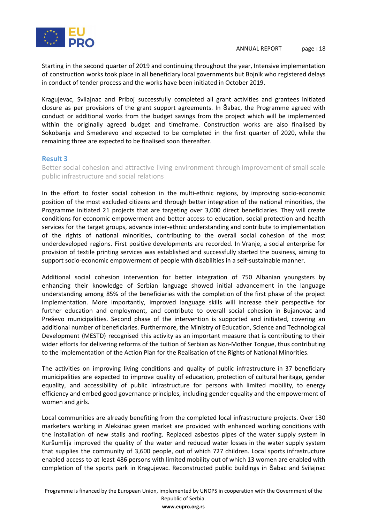

Starting in the second quarter of 2019 and continuing throughout the year, Intensive implementation of construction works took place in all beneficiary local governments but Bojnik who registered delays in conduct of tender process and the works have been initiated in October 2019.

Kragujevac, Svilajnac and Priboj successfully completed all grant activities and grantees initiated closure as per provisions of the grant support agreements. In Šabac, the Programme agreed with conduct or additional works from the budget savings from the project which will be implemented within the originally agreed budget and timeframe. Construction works are also finalised by Sokobanja and Smederevo and expected to be completed in the first quarter of 2020, while the remaining three are expected to be finalised soon thereafter.

## <span id="page-18-0"></span>**Result 3**

Better social cohesion and attractive living environment through improvement of small scale public infrastructure and social relations

In the effort to foster social cohesion in the multi-ethnic regions, by improving socio-economic position of the most excluded citizens and through better integration of the national minorities, the Programme initiated 21 projects that are targeting over 3,000 direct beneficiaries. They will create conditions for economic empowerment and better access to education, social protection and health services for the target groups, advance inter-ethnic understanding and contribute to implementation of the rights of national minorities, contributing to the overall social cohesion of the most underdeveloped regions. First positive developments are recorded. In Vranje, a social enterprise for provision of textile printing services was established and successfully started the business, aiming to support socio-economic empowerment of people with disabilities in a self-sustainable manner.

Additional social cohesion intervention for better integration of 750 Albanian youngsters by enhancing their knowledge of Serbian language showed initial advancement in the language understanding among 85% of the beneficiaries with the completion of the first phase of the project implementation. More importantly, improved language skills will increase their perspective for further education and employment, and contribute to overall social cohesion in Bujanovac and Preševo municipalities. Second phase of the intervention is supported and initiated, covering an additional number of beneficiaries. Furthermore, the Ministry of Education, Science and Technological Development (MESTD) recognised this activity as an important measure that is contributing to their wider efforts for delivering reforms of the tuition of Serbian as Non-Mother Tongue, thus contributing to the implementation of the Action Plan for the Realisation of the Rights of National Minorities.

The activities on improving living conditions and quality of public infrastructure in 37 beneficiary municipalities are expected to improve quality of education, protection of cultural heritage, gender equality, and accessibility of public infrastructure for persons with limited mobility, to energy efficiency and embed good governance principles, including gender equality and the empowerment of women and girls.

Local communities are already benefiting from the completed local infrastructure projects. Over 130 marketers working in Aleksinac green market are provided with enhanced working conditions with the installation of new stalls and roofing. Replaced asbestos pipes of the water supply system in Kuršumlija improved the quality of the water and reduced water losses in the water supply system that supplies the community of 3,600 people, out of which 727 children. Local sports infrastructure enabled access to at least 486 persons with limited mobility out of which 13 women are enabled with completion of the sports park in Kragujevac. Reconstructed public buildings in Šabac and Svilajnac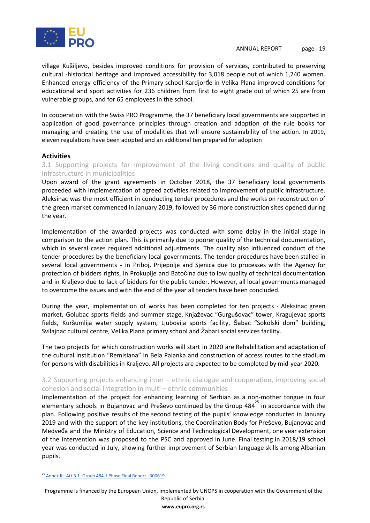

village Kušiljevo, besides improved conditions for provision of services, contributed to preserving cultural -historical heritage and improved accessibility for 3,018 people out of which 1,740 women. Enhanced energy efficiency of the Primary school Kardjorđe in Velika Plana improved conditions for educational and sport activities for 236 children from first to eight grade out of which 25 are from vulnerable groups, and for 65 employees in the school.

In cooperation with the Swiss PRO Programme, the 37 beneficiary local governments are supported in application of good governance principles through creation and adoption of the rule books for managing and creating the use of modalities that will ensure sustainability of the action. In 2019, eleven regulations have been adopted and an additional ten prepared for adoption

#### **Activities**

3.1 Supporting projects for improvement of the living conditions and quality of public infrastructure in municipalities

Upon award of the grant agreements in October 2018, the 37 beneficiary local governments proceeded with implementation of agreed activities related to improvement of public infrastructure. Aleksinac was the most efficient in conducting tender procedures and the works on reconstruction of the green market commenced in January 2019, followed by 36 more construction sites opened during the year.

Implementation of the awarded projects was conducted with some delay in the initial stage in comparison to the action plan. This is primarily due to poorer quality of the technical documentation, which in several cases required additional adjustments. The quality also influenced conduct of the tender procedures by the beneficiary local governments. The tender procedures have been stalled in several local governments - in Priboj, Prijepolje and Sjenica due to processes with the Agency for protection of bidders rights, in Prokuplje and Batočina due to low quality of technical documentation and in Kraljevo due to lack of bidders for the public tender. However, all local governments managed to overcome the issues and with the end of the year all tenders have been concluded.

During the year, implementation of works has been completed for ten projects - Aleksinac green market, Golubac sports fields and summer stage, Knjaževac "Gurgušovac" tower, Kragujevac sports fields, Kuršumlija water supply system, Ljubovija sports facility, Šabac "Sokolski dom" building, Svilajnac cultural centre, Velika Plana primary school and Žabari social services facility.

The two projects for which construction works will start in 2020 are Rehabilitation and adaptation of the cultural institution "Remisiana" in Bela Palanka and construction of access routes to the stadium for persons with disabilities in Kraljevo. All projects are expected to be completed by mid-year 2020.

## 3.2 Supporting projects enhancing inter – ethnic dialogue and cooperation, improving social cohesion and social integration in multi – ethnic communities

Implementation of the project for enhancing learning of Serbian as a non-mother tongue in four elementary schools in Bujanovac and Preševo continued by the Group  $484^{25}$  in accordance with the plan. Following positive results of the second testing of the pupils' knowledge conducted in January 2019 and with the support of the key institutions, the Coordination Body for Preševo, Bujanovac and Medveđa and the Ministry of Education, Science and Technological Development, one year extension of the intervention was proposed to the PSC and approved in June. Final testing in 2018/19 school year was conducted in July, showing further improvement of Serbian language skills among Albanian pupils.

Programme is financed by the European Union, implemented by UNOPS in cooperation with the Government of the Republic of Serbia.

<sup>&</sup>lt;sup>25</sup> Annex [III\\_Att.3.1\\_Group](https://drive.google.com/drive/u/0/folders/1-y8SOSXyStB887nFgEjzs1sDWC1u74YA) 484\_I Phase Final Report\_ 300619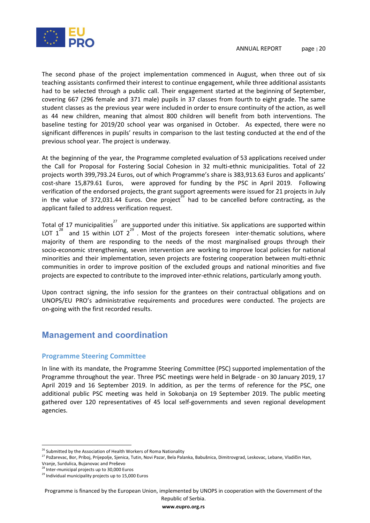

The second phase of the project implementation commenced in August, when three out of six teaching assistants confirmed their interest to continue engagement, while three additional assistants had to be selected through a public call. Their engagement started at the beginning of September, covering 667 (296 female and 371 male) pupils in 37 classes from fourth to eight grade. The same student classes as the previous year were included in order to ensure continuity of the action, as well as 44 new children, meaning that almost 800 children will benefit from both interventions. The baseline testing for 2019/20 school year was organised in October. As expected, there were no significant differences in pupils' results in comparison to the last testing conducted at the end of the previous school year. The project is underway.

At the beginning of the year, the Programme completed evaluation of 53 applications received under the Call for Proposal for Fostering Social Cohesion in 32 multi-ethnic municipalities. Total of 22 projects worth 399,793.24 Euros, out of which Programme's share is 383,913.63 Euros and applicants' cost-share 15,879.61 Euros, were approved for funding by the PSC in April 2019. Following verification of the endorsed projects, the grant support agreements were issued for 21 projects in July in the value of 372,031.44 Euros. One project<sup>26</sup> had to be cancelled before contracting, as the applicant failed to address verification request.

Total of 17 municipalities<sup>27</sup> are supported under this initiative. Six applications are supported within LOT  $1^{28}$  and 15 within LOT  $2^{29}$ . Most of the projects foreseen inter-thematic solutions, where majority of them are responding to the needs of the most marginalised groups through their socio-economic strengthening, seven intervention are working to improve local policies for national minorities and their implementation, seven projects are fostering cooperation between multi-ethnic communities in order to improve position of the excluded groups and national minorities and five projects are expected to contribute to the improved inter-ethnic relations, particularly among youth.

Upon contract signing, the info session for the grantees on their contractual obligations and on UNOPS/EU PRO's administrative requirements and procedures were conducted. The projects are on-going with the first recorded results.

# <span id="page-20-0"></span>**Management and coordination**

## <span id="page-20-1"></span>**Programme Steering Committee**

In line with its mandate, the Programme Steering Committee (PSC) supported implementation of the Programme throughout the year. Three PSC meetings were held in Belgrade - on 30 January 2019, 17 April 2019 and 16 September 2019. In addition, as per the terms of reference for the PSC, one additional public PSC meeting was held in Sokobanja on 19 September 2019. The public meeting gathered over 120 representatives of 45 local self-governments and seven regional development agencies.

Programme is financed by the European Union, implemented by UNOPS in cooperation with the Government of the Republic of Serbia.

<sup>&</sup>lt;sup>26</sup> Submitted by the Association of Health Workers of Roma Nationality

<sup>&</sup>lt;sup>27</sup> Požarevac, Bor, Priboj, Prijepolje, Sjenica, Tutin, Novi Pazar, Bela Palanka, Babušnica, Dimitrovgrad, Leskovac, Lebane, Vladičin Han,

Vranje, Surdulica, Bujanovac and Preševo

<sup>&</sup>lt;sup>28</sup> Inter-municipal projects up to 30,000 Euros

<sup>&</sup>lt;sup>29</sup> Individual municipality projects up to 15,000 Euros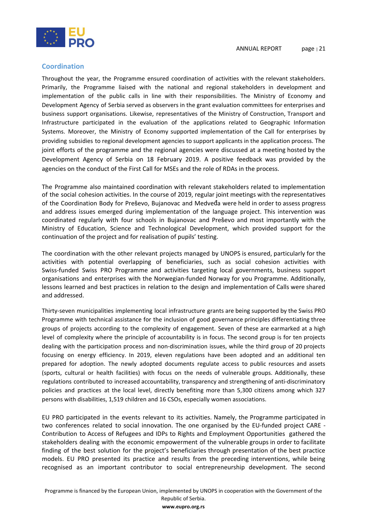

## <span id="page-21-0"></span>**Coordination**

Throughout the year, the Programme ensured coordination of activities with the relevant stakeholders. Primarily, the Programme liaised with the national and regional stakeholders in development and implementation of the public calls in line with their responsibilities. The Ministry of Economy and Development Agency of Serbia served as observers in the grant evaluation committees for enterprises and business support organisations. Likewise, representatives of the Ministry of Construction, Transport and Infrastructure participated in the evaluation of the applications related to Geographic Information Systems. Moreover, the Ministry of Economy supported implementation of the Call for enterprises by providing subsidies to regional development agencies to support applicants in the application process. The joint efforts of the programme and the regional agencies were discussed at a meeting hosted by the Development Agency of Serbia on 18 February 2019. A positive feedback was provided by the agencies on the conduct of the First Call for MSEs and the role of RDAs in the process.

The Programme also maintained coordination with relevant stakeholders related to implementation of the social cohesion activities. In the course of 2019, regular joint meetings with the representatives of the Coordination Body for Preševo, Bujanovac and Medveđa were held in order to assess progress and address issues emerged during implementation of the language project. This intervention was coordinated regularly with four schools in Bujanovac and Preševo and most importantly with the Ministry of Education, Science and Technological Development, which provided support for the continuation of the project and for realisation of pupils' testing.

The coordination with the other relevant projects managed by UNOPS is ensured, particularly for the activities with potential overlapping of beneficiaries, such as social cohesion activities with Swiss-funded Swiss PRO Programme and activities targeting local governments, business support organisations and enterprises with the Norwegian-funded Norway for you Programme. Additionally, lessons learned and best practices in relation to the design and implementation of Calls were shared and addressed.

Thirty-seven municipalities implementing local infrastructure grants are being supported by the Swiss PRO Programme with technical assistance for the inclusion of good governance principles differentiating three groups of projects according to the complexity of engagement. Seven of these are earmarked at a high level of complexity where the principle of accountability is in focus. The second group is for ten projects dealing with the participation process and non-discrimination issues, while the third group of 20 projects focusing on energy efficiency. In 2019, eleven regulations have been adopted and an additional ten prepared for adoption. The newly adopted documents regulate access to public resources and assets (sports, cultural or health facilities) with focus on the needs of vulnerable groups. Additionally, these regulations contributed to increased accountability, transparency and strengthening of anti-discriminatory policies and practices at the local level, directly benefiting more than 5,300 citizens among which 327 persons with disabilities, 1,519 children and 16 CSOs, especially women associations.

EU PRO participated in the events relevant to its activities. Namely, the Programme participated in two conferences related to social innovation. The one organised by the EU-funded project CARE - Contribution to Access of Refugees and IDPs to Rights and Employment Opportunities gathered the stakeholders dealing with the economic empowerment of the vulnerable groups in order to facilitate finding of the best solution for the project's beneficiaries through presentation of the best practice models. EU PRO presented its practice and results from the preceding interventions, while being recognised as an important contributor to social entrepreneurship development. The second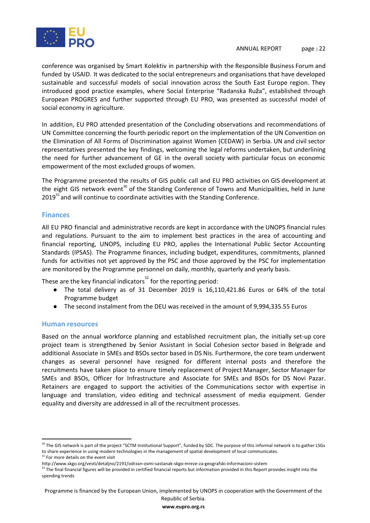

conference was organised by Smart Kolektiv in partnership with the Responsible Business Forum and funded by USAID. It was dedicated to the social entrepreneurs and organisations that have developed sustainable and successful models of social innovation across the South East Europe region. They introduced good practice examples, where Social Enterprise "Radanska Ruža", established through European PROGRES and further supported through EU PRO, was presented as successful model of social economy in agriculture.

In addition, EU PRO attended presentation of the Concluding observations and recommendations of UN Committee concerning the fourth periodic report on the implementation of the UN Convention on the Elimination of All Forms of Discrimination against Women (CEDAW) in Serbia. UN and civil sector representatives presented the key findings, welcoming the legal reforms undertaken, but underlining the need for further advancement of GE in the overall society with particular focus on economic empowerment of the most excluded groups of women.

The Programme presented the results of GIS public call and EU PRO activities on GIS development at the eight GIS network event<sup>30</sup> of the Standing Conference of Towns and Municipalities, held in June 2019 $^{31}$  and will continue to coordinate activities with the Standing Conference.

## <span id="page-22-0"></span>**Finances**

All EU PRO financial and administrative records are kept in accordance with the UNOPS financial rules and regulations. Pursuant to the aim to implement best practices in the area of accounting and financial reporting, UNOPS, including EU PRO, applies the International Public Sector Accounting Standards (IPSAS). The Programme finances, including budget, expenditures, commitments, planned funds for activities not yet approved by the PSC and those approved by the PSC for implementation are monitored by the Programme personnel on daily, monthly, quarterly and yearly basis.

These are the key financial indicators $32$  for the reporting period:

- The total delivery as of 31 December 2019 is 16,110,421.86 Euros or 64% of the total Programme budget
- The second instalment from the DEU was received in the amount of 9,994,335.55 Euros

#### <span id="page-22-1"></span>**Human resources**

Based on the annual workforce planning and established recruitment plan, the initially set-up core project team is strengthened by Senior Assistant in Social Cohesion sector based in Belgrade and additional Associate in SMEs and BSOs sector based in DS Nis. Furthermore, the core team underwent changes as several personnel have resigned for different internal posts and therefore the recruitments have taken place to ensure timely replacement of Project Manager, Sector Manager for SMEs and BSOs, Officer for Infrastructure and Associate for SMEs and BSOs for DS Novi Pazar. Retainers are engaged to support the activities of the Communications sector with expertise in language and translation, video editing and technical assessment of media equipment. Gender equality and diversity are addressed in all of the recruitment processes.

<sup>&</sup>lt;sup>30</sup> The GIS network is part of the project "SCTM Institutional Support", funded by SDC. The purpose of this informal network is to gather LSGs to share experience in using modern technologies in the management of spatial development of local communicates. <sup>31</sup> For more details on the event visit

http://www.skgo.org/vesti/detaljno/2191/odrzan-osmi-sastanak-skgo-mreze-za-geografski-informacioni-sistem

<sup>&</sup>lt;sup>32</sup> The final financial figures will be provided in certified financial reports but information provided in this Report provides insight into the spending trends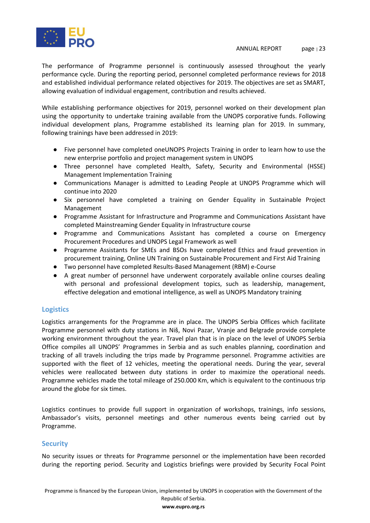

The performance of Programme personnel is continuously assessed throughout the yearly performance cycle. During the reporting period, personnel completed performance reviews for 2018 and established individual performance related objectives for 2019. The objectives are set as SMART, allowing evaluation of individual engagement, contribution and results achieved.

While establishing performance objectives for 2019, personnel worked on their development plan using the opportunity to undertake training available from the UNOPS corporative funds. Following individual development plans, Programme established its learning plan for 2019. In summary, following trainings have been addressed in 2019:

- Five personnel have completed oneUNOPS Projects Training in order to learn how to use the new enterprise portfolio and project management system in UNOPS
- Three personnel have completed Health, Safety, Security and Environmental (HSSE) Management Implementation Training
- Communications Manager is admitted to Leading People at UNOPS Programme which will continue into 2020
- Six personnel have completed a training on Gender Equality in Sustainable Project Management
- Programme Assistant for Infrastructure and Programme and Communications Assistant have completed Mainstreaming Gender Equality in Infrastructure course
- Programme and Communications Assistant has completed a course on Emergency Procurement Procedures and UNOPS Legal Framework as well
- Programme Assistants for SMEs and BSOs have completed Ethics and fraud prevention in procurement training, Online UN Training on Sustainable Procurement and First Aid Training
- Two personnel have completed Results-Based Management (RBM) e-Course
- A great number of personnel have underwent corporately available online courses dealing with personal and professional development topics, such as leadership, management, effective delegation and emotional intelligence, as well as UNOPS Mandatory training

## <span id="page-23-0"></span>**Logistics**

Logistics arrangements for the Programme are in place. The UNOPS Serbia Offices which facilitate Programme personnel with duty stations in Niš, Novi Pazar, Vranje and Belgrade provide complete working environment throughout the year. Travel plan that is in place on the level of UNOPS Serbia Office compiles all UNOPS' Programmes in Serbia and as such enables planning, coordination and tracking of all travels including the trips made by Programme personnel. Programme activities are supported with the fleet of 12 vehicles, meeting the operational needs. During the year, several vehicles were reallocated between duty stations in order to maximize the operational needs. Programme vehicles made the total mileage of 250.000 Km, which is equivalent to the continuous trip around the globe for six times.

Logistics continues to provide full support in organization of workshops, trainings, info sessions, Ambassador's visits, personnel meetings and other numerous events being carried out by Programme.

## <span id="page-23-1"></span>**Security**

No security issues or threats for Programme personnel or the implementation have been recorded during the reporting period. Security and Logistics briefings were provided by Security Focal Point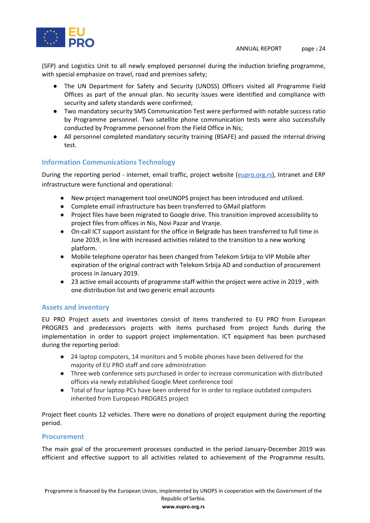

(SFP) and Logistics Unit to all newly employed personnel during the induction briefing programme, with special emphasize on travel, road and premises safety;

- The UN Department for Safety and Security (UNDSS) Officers visited all Programme Field Offices as part of the annual plan. No security issues were identified and compliance with security and safety standards were confirmed;
- Two mandatory security SMS Communication Test were performed with notable success ratio by Programme personnel. Two satellite phone communication tests were also successfully conducted by Programme personnel from the Field Office in Nis;
- All personnel completed mandatory security training (BSAFE) and passed the internal driving test.

## <span id="page-24-0"></span>**Information Communications Technology**

During the reporting period - internet, email traffic, project website ([eupro.org.rs](http://eupro.org.rs/)), Intranet and ERP infrastructure were functional and operational:

- New project management tool oneUNOPS project has been introduced and utilized.
- Complete email infrastructure has been transferred to GMail platform
- Project files have been migrated to Google drive. This transition improved accessibility to project files from offices in Nis, Novi Pazar and Vranje.
- On-call ICT support assistant for the office in Belgrade has been transferred to full time in June 2019, in line with increased activities related to the transition to a new working platform.
- Mobile telephone operator has been changed from Telekom Srbija to VIP Mobile after expiration of the original contract with Telekom Srbija AD and conduction of procurement process in January 2019.
- 23 active email accounts of programme staff within the project were active in 2019 , with one distribution list and two generic email accounts

## <span id="page-24-1"></span>**Assets and inventory**

EU PRO Project assets and inventories consist of items transferred to EU PRO from European PROGRES and predecessors projects with items purchased from project funds during the implementation in order to support project implementation. ICT equipment has been purchased during the reporting period:

- 24 laptop computers, 14 monitors and 5 mobile phones have been delivered for the majority of EU PRO staff and core administration
- Three web conference sets purchased in order to increase communication with distributed offices via newly established Google Meet conference tool
- Total of four laptop PCs have been ordered for in order to replace outdated computers inherited from European PROGRES project

Project fleet counts 12 vehicles. There were no donations of project equipment during the reporting period.

#### <span id="page-24-2"></span>**Procurement**

The main goal of the procurement processes conducted in the period January-December 2019 was efficient and effective support to all activities related to achievement of the Programme results.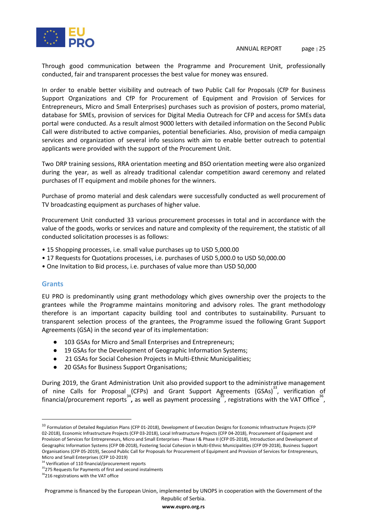

Through good communication between the Programme and Procurement Unit, professionally conducted, fair and transparent processes the best value for money was ensured.

In order to enable better visibility and outreach of two Public Call for Proposals (CfP for Business Support Organizations and CfP for Procurement of Equipment and Provision of Services for Entrepreneurs, Micro and Small Enterprises) purchases such as provision of posters, promo material, database for SMEs, provision of services for Digital Media Outreach for CFP and access for SMEs data portal were conducted. As a result almost 9000 letters with detailed information on the Second Public Call were distributed to active companies, potential beneficiaries. Also, provision of media campaign services and organization of several info sessions with aim to enable better outreach to potential applicants were provided with the support of the Procurement Unit.

Two DRP training sessions, RRA orientation meeting and BSO orientation meeting were also organized during the year, as well as already traditional calendar competition award ceremony and related purchases of IT equipment and mobile phones for the winners.

Purchase of promo material and desk calendars were successfully conducted as well procurement of TV broadcasting equipment as purchases of higher value.

Procurement Unit conducted 33 various procurement processes in total and in accordance with the value of the goods, works or services and nature and complexity of the requirement, the statistic of all conducted solicitation processes is as follows:

- 15 Shopping processes, i.e. small value purchases up to USD 5,000.00
- 17 Requests for Quotations processes, i.e. purchases of USD 5,000.0 to USD 50,000.00
- One Invitation to Bid process, i.e. purchases of value more than USD 50,000

## <span id="page-25-0"></span>**Grants**

EU PRO is predominantly using grant methodology which gives ownership over the projects to the grantees while the Programme maintains monitoring and advisory roles. The grant methodology therefore is an important capacity building tool and contributes to sustainability. Pursuant to transparent selection process of the grantees, the Programme issued the following Grant Support Agreements (GSA) in the second year of its implementation:

- 103 GSAs for Micro and Small Enterprises and Entrepreneurs;
- 19 GSAs for the Development of Geographic Information Systems;
- 21 GSAs for Social Cohesion Projects in Multi-Ethnic Municipalities;
- 20 GSAs for Business Support Organisations;

During 2019, the Grant Administration Unit also provided support to the administrative management of nine Calls for Proposal (CFPs) and Grant Support Agreements (GSAs)<sup>33</sup>, verification of financial/procurement reports<sup>34</sup>, as well as payment processing<sup>35</sup>, registrations with the VAT Office<sup>36</sup>,

Programme is financed by the European Union, implemented by UNOPS in cooperation with the Government of the Republic of Serbia.

<sup>33</sup> Formulation of Detailed Regulation Plans (CFP 01-2018), Development of Execution Designs for Economic Infrastructure Projects (CFP 02-2018), Economic Infrastructure Projects (CFP 03-2018), Local Infrastructure Projects (CFP 04-2018), Procurement of Equipment and Provision of Services for Entrepreneurs, Micro and Small Enterprises - Phase I & Phase II (CFP 05-2018), Introduction and Development of Geographic Information Systems (CFP 08-2018), Fostering Social Cohesion in Multi-Ethnic Municipalities (CFP 09-2018), Business Support Organisations (CFP 05-2019), Second Public Call for Proposals for Procurement of Equipment and Provision of Services for Entrepreneurs, Micro and Small Enterprises (CFP 10-2019)

<sup>&</sup>lt;sup>34</sup> Verification of 110 financial/procurement reports

<sup>&</sup>lt;sup>35</sup>275 Requests for Payments of first and second instalments

<sup>&</sup>lt;sup>36</sup>216 registrations with the VAT office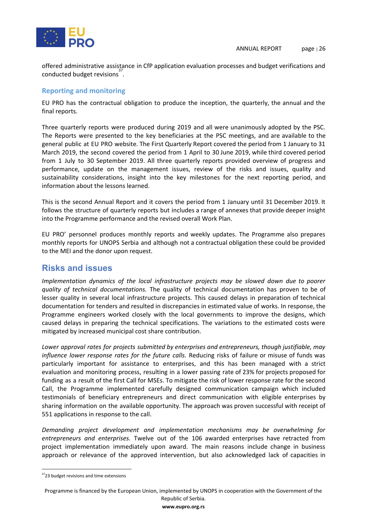

offered administrative assistance in CfP application evaluation processes and budget verifications and  $\frac{37}{2}$ .

## <span id="page-26-0"></span>**Reporting and monitoring**

EU PRO has the contractual obligation to produce the inception, the quarterly, the annual and the final reports.

Three quarterly reports were produced during 2019 and all were unanimously adopted by the PSC. The Reports were presented to the key beneficiaries at the PSC meetings, and are available to the general public at EU PRO website. The First Quarterly Report covered the period from 1 January to 31 March 2019, the second covered the period from 1 April to 30 June 2019, while third covered period from 1 July to 30 September 2019. All three quarterly reports provided overview of progress and performance, update on the management issues, review of the risks and issues, quality and sustainability considerations, insight into the key milestones for the next reporting period, and information about the lessons learned.

This is the second Annual Report and it covers the period from 1 January until 31 December 2019. It follows the structure of quarterly reports but includes a range of annexes that provide deeper insight into the Programme performance and the revised overall Work Plan.

EU PRO' personnel produces monthly reports and weekly updates. The Programme also prepares monthly reports for UNOPS Serbia and although not a contractual obligation these could be provided to the MEI and the donor upon request.

# <span id="page-26-1"></span>**Risks and issues**

*Implementation dynamics of the local infrastructure projects may be slowed down due to poorer quality of technical documentations.* The quality of technical documentation has proven to be of lesser quality in several local infrastructure projects. This caused delays in preparation of technical documentation for tenders and resulted in discrepancies in estimated value of works. In response, the Programme engineers worked closely with the local governments to improve the designs, which caused delays in preparing the technical specifications. The variations to the estimated costs were mitigated by increased municipal cost share contribution.

*Lower approval rates for projects submitted by enterprises and entrepreneurs, though justifiable, may influence lower response rates for the future calls.* Reducing risks of failure or misuse of funds was particularly important for assistance to enterprises, and this has been managed with a strict evaluation and monitoring process, resulting in a lower passing rate of 23% for projects proposed for funding as a result of the first Call for MSEs. To mitigate the risk of lower response rate for the second Call, the Programme implemented carefully designed communication campaign which included testimonials of beneficiary entrepreneurs and direct communication with eligible enterprises by sharing information on the available opportunity. The approach was proven successful with receipt of 551 applications in response to the call.

*Demanding project development and implementation mechanisms may be overwhelming for entrepreneurs and enterprises.* Twelve out of the 106 awarded enterprises have retracted from project implementation immediately upon award. The main reasons include change in business approach or relevance of the approved intervention, but also acknowledged lack of capacities in

Programme is financed by the European Union, implemented by UNOPS in cooperation with the Government of the Republic of Serbia.

<sup>&</sup>lt;sup>37</sup>23 budget revisions and time extensions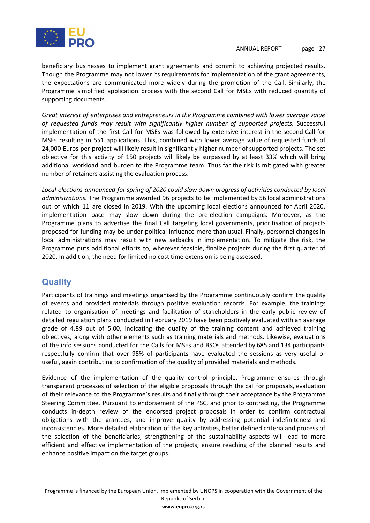

beneficiary businesses to implement grant agreements and commit to achieving projected results. Though the Programme may not lower its requirements for implementation of the grant agreements, the expectations are communicated more widely during the promotion of the Call. Similarly, the Programme simplified application process with the second Call for MSEs with reduced quantity of supporting documents.

*Great interest of enterprises and entrepreneurs in the Programme combined with lower average value of requested funds may result with significantly higher number of supported projects.* Successful implementation of the first Call for MSEs was followed by extensive interest in the second Call for MSEs resulting in 551 applications. This, combined with lower average value of requested funds of 24,000 Euros per project will likely result in significantly higher number of supported projects. The set objective for this activity of 150 projects will likely be surpassed by at least 33% which will bring additional workload and burden to the Programme team. Thus far the risk is mitigated with greater number of retainers assisting the evaluation process.

*Local elections announced for spring of 2020 could slow down progress of activities conducted by local administrations.* The Programme awarded 96 projects to be implemented by 56 local administrations out of which 11 are closed in 2019. With the upcoming local elections announced for April 2020, implementation pace may slow down during the pre-election campaigns. Moreover, as the Programme plans to advertise the final Call targeting local governments, prioritisation of projects proposed for funding may be under political influence more than usual. Finally, personnel changes in local administrations may result with new setbacks in implementation. To mitigate the risk, the Programme puts additional efforts to, wherever feasible, finalize projects during the first quarter of 2020. In addition, the need for limited no cost time extension is being assessed.

# <span id="page-27-0"></span>**Quality**

Participants of trainings and meetings organised by the Programme continuously confirm the quality of events and provided materials through positive evaluation records. For example, the trainings related to organisation of meetings and facilitation of stakeholders in the early public review of detailed regulation plans conducted in February 2019 have been positively evaluated with an average grade of 4.89 out of 5.00, indicating the quality of the training content and achieved training objectives, along with other elements such as training materials and methods. Likewise, evaluations of the info sessions conducted for the Calls for MSEs and BSOs attended by 685 and 134 participants respectfully confirm that over 95% of participants have evaluated the sessions as very useful or useful, again contributing to confirmation of the quality of provided materials and methods.

Evidence of the implementation of the quality control principle, Programme ensures through transparent processes of selection of the eligible proposals through the call for proposals, evaluation of their relevance to the Programme's results and finally through their acceptance by the Programme Steering Committee. Pursuant to endorsement of the PSC, and prior to contracting, the Programme conducts in-depth review of the endorsed project proposals in order to confirm contractual obligations with the grantees, and improve quality by addressing potential indefiniteness and inconsistencies. More detailed elaboration of the key activities, better defined criteria and process of the selection of the beneficiaries, strengthening of the sustainability aspects will lead to more efficient and effective implementation of the projects, ensure reaching of the planned results and enhance positive impact on the target groups.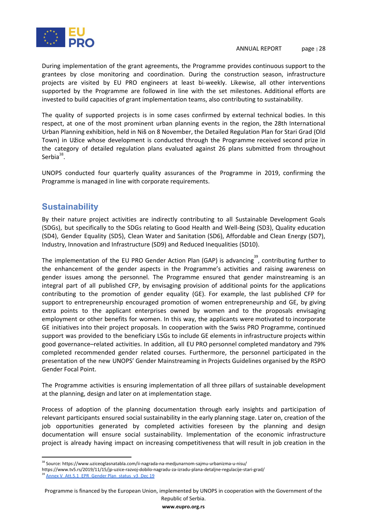

During implementation of the grant agreements, the Programme provides continuous support to the grantees by close monitoring and coordination. During the construction season, infrastructure projects are visited by EU PRO engineers at least bi-weekly. Likewise, all other interventions supported by the Programme are followed in line with the set milestones. Additional efforts are invested to build capacities of grant implementation teams, also contributing to sustainability.

The quality of supported projects is in some cases confirmed by external technical bodies. In this respect, at one of the most prominent urban planning events in the region, the 28th International Urban Planning exhibition, held in Niš on 8 November, the Detailed Regulation Plan for Stari Grad (Old Town) in Užice whose development is conducted through the Programme received second prize in the category of detailed regulation plans evaluated against 26 plans submitted from throughout Serbia $^{38}$ .

UNOPS conducted four quarterly quality assurances of the Programme in 2019, confirming the Programme is managed in line with corporate requirements.

# <span id="page-28-0"></span>**Sustainability**

By their nature project activities are indirectly contributing to all Sustainable Development Goals (SDGs), but specifically to the SDGs relating to Good Health and Well-Being (SD3), Quality education (SD4), Gender Equality (SD5), Clean Water and Sanitation (SD6), Affordable and Clean Energy (SD7), Industry, Innovation and Infrastructure (SD9) and Reduced Inequalities (SD10).

The implementation of the EU PRO Gender Action Plan (GAP) is advancing<sup>39</sup>, contributing further to the enhancement of the gender aspects in the Programme's activities and raising awareness on gender issues among the personnel. The Programme ensured that gender mainstreaming is an integral part of all published CFP, by envisaging provision of additional points for the applications contributing to the promotion of gender equality (GE). For example, the last published CFP for support to entrepreneurship encouraged promotion of women entrepreneurship and GE, by giving extra points to the applicant enterprises owned by women and to the proposals envisaging employment or other benefits for women. In this way, the applicants were motivated to incorporate GE initiatives into their project proposals. In cooperation with the Swiss PRO Programme, continued support was provided to the beneficiary LSGs to include GE elements in infrastructure projects within good governance–related activities. In addition, all EU PRO personnel completed mandatory and 79% completed recommended gender related courses. Furthermore, the personnel participated in the presentation of the new UNOPS' Gender Mainstreaming in Projects Guidelines organised by the RSPO Gender Focal Point.

The Programme activities is ensuring implementation of all three pillars of sustainable development at the planning, design and later on at implementation stage.

Process of adoption of the planning documentation through early insights and participation of relevant participants ensured social sustainability in the early planning stage. Later on, creation of the job opportunities generated by completed activities foreseen by the planning and design documentation will ensure social sustainability. Implementation of the economic infrastructure project is already having impact on increasing competitiveness that will result in job creation in the

<sup>&</sup>lt;sup>38</sup> Source: https://www.uziceoglasnatabla.com/ii-nagrada-na-medjunarnom-sajmu-urbanizma-u-nisu/

https://www.tv5.rs/2019/11/15/jp-uzice-razvoj-dobilo-nagradu-za-izradu-plana-detaljne-regulacije-stari-grad/ Annex [V\\_Att.5.1\\_EPR\\_Gender](https://docs.google.com/spreadsheets/d/1Gx4QWdwqgjqKLm9ihGoie_hr7IyTfRjb/edit#gid=553958050) Plan\_status\_v3\_Dec 19

Programme is financed by the European Union, implemented by UNOPS in cooperation with the Government of the Republic of Serbia.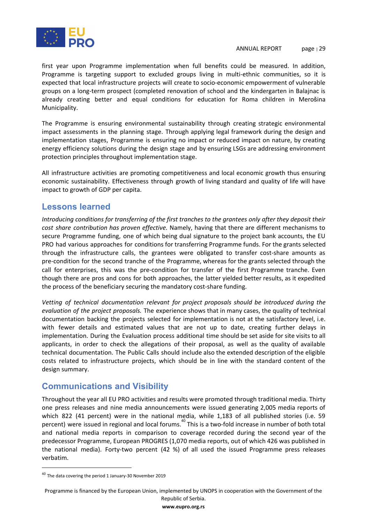

first year upon Programme implementation when full benefits could be measured. In addition, Programme is targeting support to excluded groups living in multi-ethnic communities, so it is expected that local infrastructure projects will create to socio-economic empowerment of vulnerable groups on a long-term prospect (completed renovation of school and the kindergarten in Balajnac is already creating better and equal conditions for education for Roma children in Merošina Municipality.

The Programme is ensuring environmental sustainability through creating strategic environmental impact assessments in the planning stage. Through applying legal framework during the design and implementation stages, Programme is ensuring no impact or reduced impact on nature, by creating energy efficiency solutions during the design stage and by ensuring LSGs are addressing environment protection principles throughout implementation stage.

All infrastructure activities are promoting competitiveness and local economic growth thus ensuring economic sustainability. Effectiveness through growth of living standard and quality of life will have impact to growth of GDP per capita.

## **Lessons learned**

*Introducing conditions for transferring of the first tranches to the grantees only after they deposit their cost share contribution has proven effective.* Namely, having that there are different mechanisms to secure Programme funding, one of which being dual signature to the project bank accounts, the EU PRO had various approaches for conditions for transferring Programme funds. For the grants selected through the infrastructure calls, the grantees were obligated to transfer cost-share amounts as pre-condition for the second tranche of the Programme, whereas for the grants selected through the call for enterprises, this was the pre-condition for transfer of the first Programme tranche. Even though there are pros and cons for both approaches, the latter yielded better results, as it expedited the process of the beneficiary securing the mandatory cost-share funding.

*Vetting of technical documentation relevant for project proposals should be introduced during the evaluation of the project proposals.* The experience shows that in many cases, the quality of technical documentation backing the projects selected for implementation is not at the satisfactory level, i.e. with fewer details and estimated values that are not up to date, creating further delays in implementation. During the Evaluation process additional time should be set aside for site visits to all applicants, in order to check the allegations of their proposal, as well as the quality of available technical documentation. The Public Calls should include also the extended description of the eligible costs related to infrastructure projects, which should be in line with the standard content of the design summary.

# <span id="page-29-0"></span>**Communications and Visibility**

Throughout the year all EU PRO activities and results were promoted through traditional media. Thirty one press releases and nine media announcements were issued generating 2,005 media reports of which 822 (41 percent) were in the national media, while 1,183 of all published stories (i.e. 59 percent) were issued in regional and local forums.<sup>40</sup> This is a two-fold increase in number of both total and national media reports in comparison to coverage recorded during the second year of the predecessor Programme, European PROGRES (1,070 media reports, out of which 426 was published in the national media). Forty-two percent (42 %) of all used the issued Programme press releases verbatim.

Programme is financed by the European Union, implemented by UNOPS in cooperation with the Government of the Republic of Serbia.

<sup>&</sup>lt;sup>40</sup> The data covering the period 1 January-30 November 2019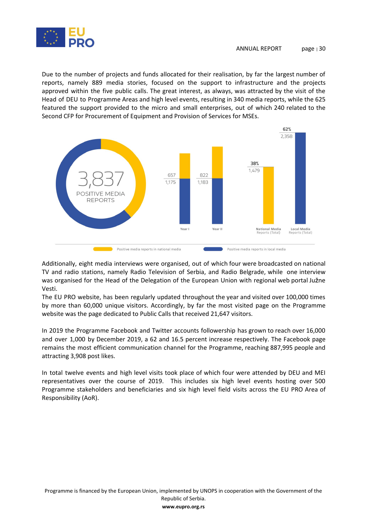

Due to the number of projects and funds allocated for their realisation, by far the largest number of reports, namely 889 media stories, focused on the support to infrastructure and the projects approved within the five public calls. The great interest, as always, was attracted by the visit of the Head of DEU to Programme Areas and high level events, resulting in 340 media reports, while the 625 featured the support provided to the micro and small enterprises, out of which 240 related to the Second CFP for Procurement of Equipment and Provision of Services for MSEs.



Additionally, eight media interviews were organised, out of which four were broadcasted on national TV and radio stations, namely Radio Television of Serbia, and Radio Belgrade, while one interview was organised for the Head of the Delegation of the European Union with regional web portal Južne Vesti.

The EU PRO website, has been regularly updated throughout the year and visited over 100,000 times by more than 60,000 unique visitors. Accordingly, by far the most visited page on the Programme website was the page dedicated to Public Calls that received 21,647 visitors.

In 2019 the Programme Facebook and Twitter accounts followership has grown to reach over 16,000 and over 1,000 by December 2019, a 62 and 16.5 percent increase respectively. The Facebook page remains the most efficient communication channel for the Programme, reaching 887,995 people and attracting 3,908 post likes.

In total twelve events and high level visits took place of which four were attended by DEU and MEI representatives over the course of 2019. This includes six high level events hosting over 500 Programme stakeholders and beneficiaries and six high level field visits across the EU PRO Area of Responsibility (AoR).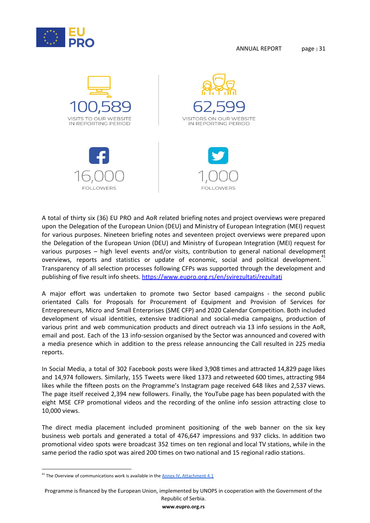



A total of thirty six (36) EU PRO and AoR related briefing notes and project overviews were prepared upon the Delegation of the European Union (DEU) and Ministry of European Integration (MEI) request for various purposes. Nineteen briefing notes and seventeen project overviews were prepared upon the Delegation of the European Union (DEU) and Ministry of European Integration (MEI) request for various purposes – high level events and/or visits, contribution to general national development overviews, reports and statistics or update of economic, social and political development.<sup>41</sup> Transparency of all selection processes following CFPs was supported through the development and publishing of five result info sheets. <https://www.eupro.org.rs/en/svirezultati/rezultati>

A major effort was undertaken to promote two Sector based campaigns - the second public orientated Calls for Proposals for Procurement of Equipment and Provision of Services for Entrepreneurs, Micro and Small Enterprises (SME CFP) and 2020 Calendar Competition. Both included development of visual identities, extensive traditional and social-media campaigns, production of various print and web communication products and direct outreach via 13 info sessions in the AoR, email and post. Each of the 13 info-session organised by the Sector was announced and covered with a media presence which in addition to the press release announcing the Call resulted in 225 media reports.

In Social Media, a total of 302 Facebook posts were liked 3,908 times and attracted 14,829 page likes and 14,974 followers. Similarly, 155 Tweets were liked 1373 and retweeted 600 times, attracting 984 likes while the fifteen posts on the Programme's Instagram page received 648 likes and 2,537 views. The page itself received 2,394 new followers. Finally, the YouTube page has been populated with the eight MSE CFP promotional videos and the recording of the online info session attracting close to 10,000 views.

The direct media placement included prominent positioning of the web banner on the six key business web portals and generated a total of 476,647 impressions and 937 clicks. In addition two promotional video spots were broadcast 352 times on ten regional and local TV stations, while in the same period the radio spot was aired 200 times on two national and 15 regional radio stations.

Programme is financed by the European Union, implemented by UNOPS in cooperation with the Government of the Republic of Serbia.

<sup>&</sup>lt;sup>41</sup> The Overview of communications work is available in the  $\frac{\text{Annex IV, Attachment } 4.1}{\text{Annex IV}}$  $\frac{\text{Annex IV, Attachment } 4.1}{\text{Annex IV}}$  $\frac{\text{Annex IV, Attachment } 4.1}{\text{Annex IV}}$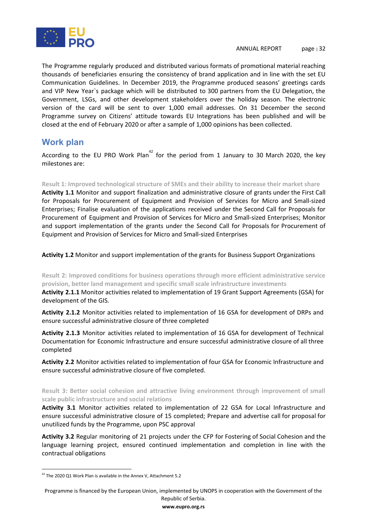

The Programme regularly produced and distributed various formats of promotional material reaching thousands of beneficiaries ensuring the consistency of brand application and in line with the set EU Communication Guidelines. In December 2019, the Programme produced seasons' greetings cards and VIP New Year`s package which will be distributed to 300 partners from the EU Delegation, the Government, LSGs, and other development stakeholders over the holiday season. The electronic version of the card will be sent to over 1,000 email addresses. On 31 December the second Programme survey on Citizens' attitude towards EU Integrations has been published and will be closed at the end of February 2020 or after a sample of 1,000 opinions has been collected.

# <span id="page-32-0"></span>**Work plan**

According to the EU PRO Work Plan<sup>42</sup> for the period from 1 January to 30 March 2020, the key milestones are:

**Result 1: Improved technological structure of SMEs and their ability to increase their market share Activity 1.1** Monitor and support finalization and administrative closure of grants under the First Call for Proposals for Procurement of Equipment and Provision of Services for Micro and Small-sized Enterprises; Finalise evaluation of the applications received under the Second Call for Proposals for Procurement of Equipment and Provision of Services for Micro and Small-sized Enterprises; Monitor and support implementation of the grants under the Second Call for Proposals for Procurement of

**Activity 1.2** Monitor and support implementation of the grants for Business Support Organizations

Equipment and Provision of Services for Micro and Small-sized Enterprises

**Result 2: Improved conditions for business operations through more efficient administrative service provision, better land management and specific small scale infrastructure investments**

**Activity 2.1.1** Monitor activities related to implementation of 19 Grant Support Agreements (GSA) for development of the GIS.

**Activity 2.1.2** Monitor activities related to implementation of 16 GSA for development of DRPs and ensure successful administrative closure of three completed

**Activity 2.1.3** Monitor activities related to implementation of 16 GSA for development of Technical Documentation for Economic Infrastructure and ensure successful administrative closure of all three completed

**Activity 2.2** Monitor activities related to implementation of four GSA for Economic Infrastructure and ensure successful administrative closure of five completed.

**Result 3: Better social cohesion and attractive living environment through improvement of small scale public infrastructure and social relations**

**Activity 3.1** Monitor activities related to implementation of 22 GSA for Local Infrastructure and ensure successful administrative closure of 15 completed; Prepare and advertise call for proposal for unutilized funds by the Programme, upon PSC approval

**Activity 3.2** Regular monitoring of 21 projects under the CFP for Fostering of Social Cohesion and the language learning project, ensured continued implementation and completion in line with the contractual obligations

Programme is financed by the European Union, implemented by UNOPS in cooperation with the Government of the Republic of Serbia.

<sup>&</sup>lt;sup>42</sup> The 2020 Q1 Work Plan is available in the Annex V, Attachment 5.2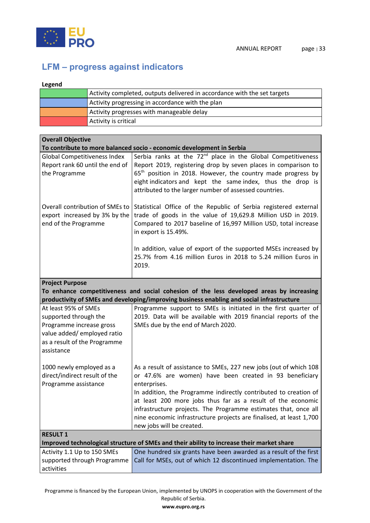

# **LFM – progress against indicators**

#### **Legend**

| Activity completed, outputs delivered in accordance with the set targets |
|--------------------------------------------------------------------------|
| Activity progressing in accordance with the plan                         |
| Activity progresses with manageable delay                                |
| Activity is critical                                                     |

| <b>Overall Objective</b>                                                                                                                |                                                                                                                                                                                                                             |  |  |  |
|-----------------------------------------------------------------------------------------------------------------------------------------|-----------------------------------------------------------------------------------------------------------------------------------------------------------------------------------------------------------------------------|--|--|--|
| To contribute to more balanced socio - economic development in Serbia                                                                   |                                                                                                                                                                                                                             |  |  |  |
| <b>Global Competitiveness Index</b><br>Report rank 60 until the end of<br>the Programme                                                 | Serbia ranks at the 72 <sup>nd</sup> place in the Global Competitiveness<br>Report 2019, registering drop by seven places in comparison to<br>$65th$ position in 2018. However, the country made progress by                |  |  |  |
|                                                                                                                                         | eight indicators and kept the same index, thus the drop is<br>attributed to the larger number of assessed countries.                                                                                                        |  |  |  |
| Overall contribution of SMEs to<br>export increased by 3% by the<br>end of the Programme                                                | Statistical Office of the Republic of Serbia registered external<br>trade of goods in the value of 19,629.8 Million USD in 2019.<br>Compared to 2017 baseline of 16,997 Million USD, total increase<br>in export is 15.49%. |  |  |  |
|                                                                                                                                         | In addition, value of export of the supported MSEs increased by<br>25.7% from 4.16 million Euros in 2018 to 5.24 million Euros in<br>2019.                                                                                  |  |  |  |
| <b>Project Purpose</b>                                                                                                                  |                                                                                                                                                                                                                             |  |  |  |
|                                                                                                                                         | To enhance competitiveness and social cohesion of the less developed areas by increasing                                                                                                                                    |  |  |  |
|                                                                                                                                         | productivity of SMEs and developing/improving business enabling and social infrastructure                                                                                                                                   |  |  |  |
| At least 95% of SMEs<br>supported through the<br>Programme increase gross<br>value added/employed ratio<br>as a result of the Programme | Programme support to SMEs is initiated in the first quarter of<br>2019. Data will be available with 2019 financial reports of the<br>SMEs due by the end of March 2020.                                                     |  |  |  |
| assistance                                                                                                                              |                                                                                                                                                                                                                             |  |  |  |
| 1000 newly employed as a<br>direct/indirect result of the<br>Programme assistance                                                       | As a result of assistance to SMEs, 227 new jobs (out of which 108<br>or 47.6% are women) have been created in 93 beneficiary<br>enterprises.                                                                                |  |  |  |
|                                                                                                                                         | In addition, the Programme indirectly contributed to creation of<br>at least 200 more jobs thus far as a result of the economic<br>infrastructure projects. The Programme estimates that, once all                          |  |  |  |
|                                                                                                                                         | nine economic infrastructure projects are finalised, at least 1,700<br>new jobs will be created.                                                                                                                            |  |  |  |
| <b>RESULT 1</b>                                                                                                                         |                                                                                                                                                                                                                             |  |  |  |
|                                                                                                                                         | Improved technological structure of SMEs and their ability to increase their market share                                                                                                                                   |  |  |  |
| Activity 1.1 Up to 150 SMEs                                                                                                             | One hundred six grants have been awarded as a result of the first                                                                                                                                                           |  |  |  |
| supported through Programme<br>activities                                                                                               | Call for MSEs, out of which 12 discontinued implementation. The                                                                                                                                                             |  |  |  |

Programme is financed by the European Union, implemented by UNOPS in cooperation with the Government of the Republic of Serbia.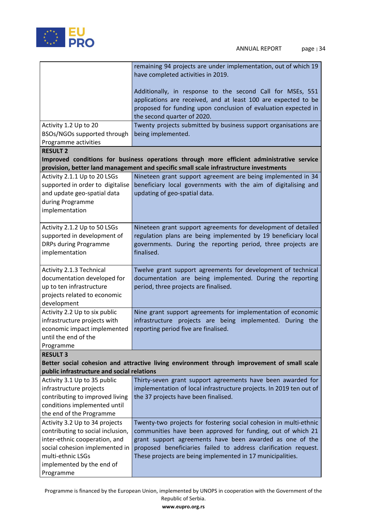

|                                                                                                                                                                                    | remaining 94 projects are under implementation, out of which 19<br>have completed activities in 2019.                                                                                                                         |  |  |  |
|------------------------------------------------------------------------------------------------------------------------------------------------------------------------------------|-------------------------------------------------------------------------------------------------------------------------------------------------------------------------------------------------------------------------------|--|--|--|
|                                                                                                                                                                                    | Additionally, in response to the second Call for MSEs, 551<br>applications are received, and at least 100 are expected to be<br>proposed for funding upon conclusion of evaluation expected in<br>the second quarter of 2020. |  |  |  |
| Activity 1.2 Up to 20<br>BSOs/NGOs supported through<br>Programme activities                                                                                                       | Twenty projects submitted by business support organisations are<br>being implemented.                                                                                                                                         |  |  |  |
| <b>RESULT 2</b>                                                                                                                                                                    |                                                                                                                                                                                                                               |  |  |  |
| Improved conditions for business operations through more efficient administrative service<br>provision, better land management and specific small scale infrastructure investments |                                                                                                                                                                                                                               |  |  |  |
| Activity 2.1.1 Up to 20 LSGs<br>supported in order to digitalise<br>and update geo-spatial data<br>during Programme<br>implementation                                              | Nineteen grant support agreement are being implemented in 34<br>beneficiary local governments with the aim of digitalising and<br>updating of geo-spatial data.                                                               |  |  |  |
| Activity 2.1.2 Up to 50 LSGs<br>supported in development of<br><b>DRPs during Programme</b><br>implementation                                                                      | Nineteen grant support agreements for development of detailed<br>regulation plans are being implemented by 19 beneficiary local<br>governments. During the reporting period, three projects are<br>finalised.                 |  |  |  |
| Activity 2.1.3 Technical<br>documentation developed for<br>up to ten infrastructure<br>projects related to economic<br>development                                                 | Twelve grant support agreements for development of technical<br>documentation are being implemented. During the reporting<br>period, three projects are finalised.                                                            |  |  |  |
| Activity 2.2 Up to six public<br>infrastructure projects with<br>economic impact implemented<br>until the end of the<br>Programme                                                  | Nine grant support agreements for implementation of economic<br>infrastructure projects are being implemented. During the<br>reporting period five are finalised.                                                             |  |  |  |
| <b>RESULT 3</b>                                                                                                                                                                    |                                                                                                                                                                                                                               |  |  |  |
|                                                                                                                                                                                    | Better social cohesion and attractive living environment through improvement of small scale                                                                                                                                   |  |  |  |
| public infrastructure and social relations                                                                                                                                         |                                                                                                                                                                                                                               |  |  |  |
| Activity 3.1 Up to 35 public                                                                                                                                                       | Thirty-seven grant support agreements have been awarded for                                                                                                                                                                   |  |  |  |
| infrastructure projects<br>contributing to improved living                                                                                                                         | implementation of local infrastructure projects. In 2019 ten out of<br>the 37 projects have been finalised.                                                                                                                   |  |  |  |
| conditions implemented until                                                                                                                                                       |                                                                                                                                                                                                                               |  |  |  |
| the end of the Programme                                                                                                                                                           |                                                                                                                                                                                                                               |  |  |  |
| Activity 3.2 Up to 34 projects                                                                                                                                                     | Twenty-two projects for fostering social cohesion in multi-ethnic                                                                                                                                                             |  |  |  |
| contributing to social inclusion,                                                                                                                                                  | communities have been approved for funding, out of which 21                                                                                                                                                                   |  |  |  |
| inter-ethnic cooperation, and                                                                                                                                                      | grant support agreements have been awarded as one of the                                                                                                                                                                      |  |  |  |
| social cohesion implemented in                                                                                                                                                     | proposed beneficiaries failed to address clarification request.                                                                                                                                                               |  |  |  |
| multi-ethnic LSGs                                                                                                                                                                  | These projects are being implemented in 17 municipalities.                                                                                                                                                                    |  |  |  |
| implemented by the end of                                                                                                                                                          |                                                                                                                                                                                                                               |  |  |  |
| Programme                                                                                                                                                                          |                                                                                                                                                                                                                               |  |  |  |

Programme is financed by the European Union, implemented by UNOPS in cooperation with the Government of the Republic of Serbia.